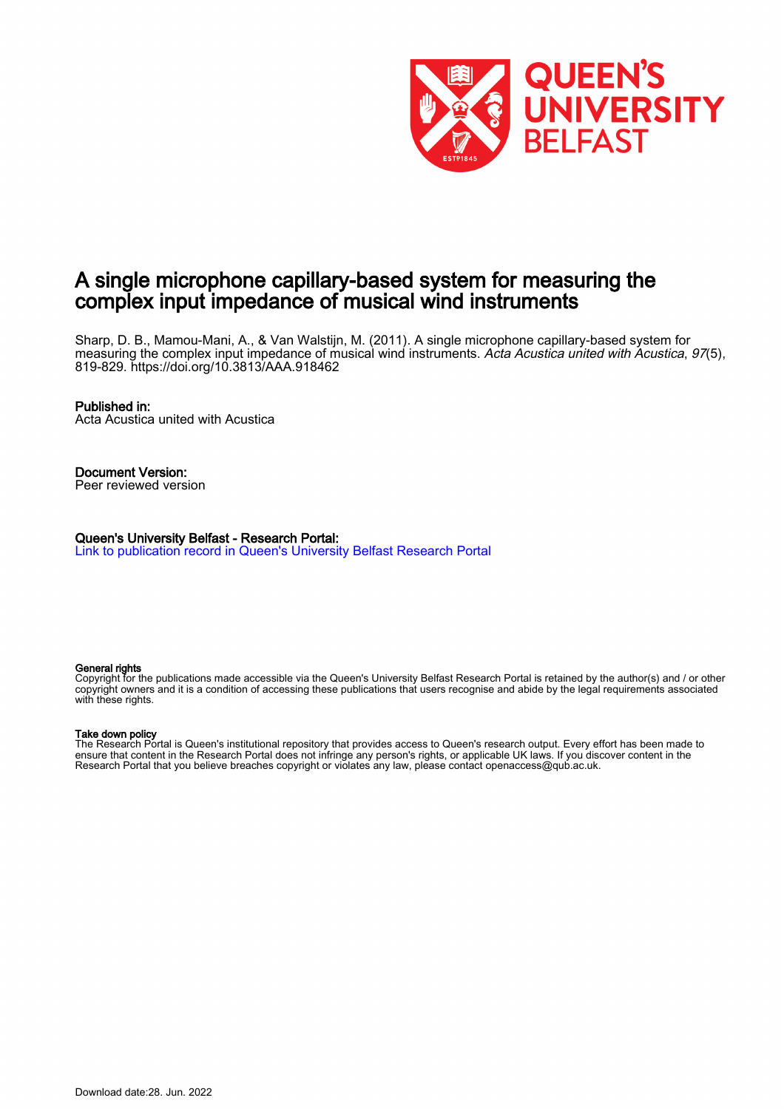

# A single microphone capillary-based system for measuring the complex input impedance of musical wind instruments

Sharp, D. B., Mamou-Mani, A., & Van Walstijn, M. (2011). A single microphone capillary-based system for measuring the complex input impedance of musical wind instruments. Acta Acustica united with Acustica, 97(5), 819-829.<https://doi.org/10.3813/AAA.918462>

#### Published in:

Acta Acustica united with Acustica

Document Version: Peer reviewed version

Queen's University Belfast - Research Portal: [Link to publication record in Queen's University Belfast Research Portal](https://pure.qub.ac.uk/en/publications/07613c26-1f02-4f05-b700-896acb1d1710)

#### General rights

Copyright for the publications made accessible via the Queen's University Belfast Research Portal is retained by the author(s) and / or other copyright owners and it is a condition of accessing these publications that users recognise and abide by the legal requirements associated with these rights.

#### Take down policy

The Research Portal is Queen's institutional repository that provides access to Queen's research output. Every effort has been made to ensure that content in the Research Portal does not infringe any person's rights, or applicable UK laws. If you discover content in the Research Portal that you believe breaches copyright or violates any law, please contact openaccess@qub.ac.uk.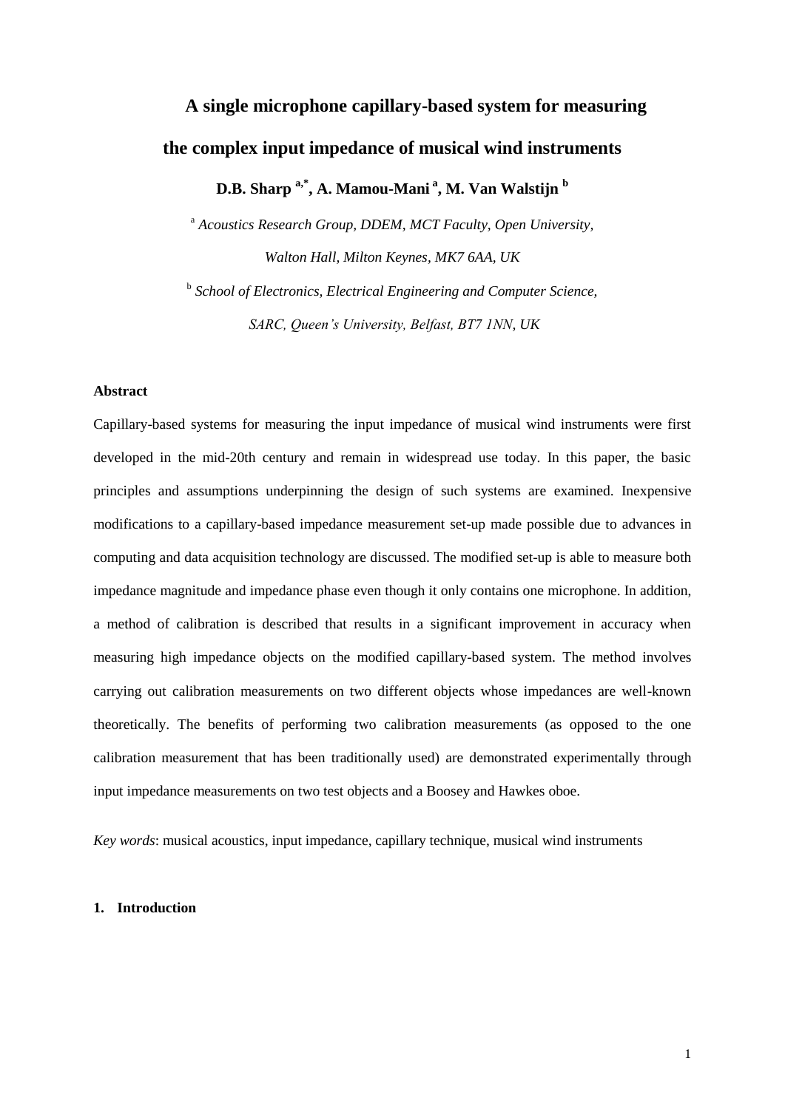# **A single microphone capillary-based system for measuring the complex input impedance of musical wind instruments**

**D.B. Sharp a,\* , A. Mamou-Mani <sup>a</sup> , M. Van Walstijn <sup>b</sup>**

<sup>a</sup> *Acoustics Research Group, DDEM, MCT Faculty, Open University, Walton Hall, Milton Keynes, MK7 6AA, UK*

<sup>b</sup> School of Electronics, Electrical Engineering and Computer Science, *SARC, Queen's University, Belfast, BT7 1NN, UK*

#### **Abstract**

Capillary-based systems for measuring the input impedance of musical wind instruments were first developed in the mid-20th century and remain in widespread use today. In this paper, the basic principles and assumptions underpinning the design of such systems are examined. Inexpensive modifications to a capillary-based impedance measurement set-up made possible due to advances in computing and data acquisition technology are discussed. The modified set-up is able to measure both impedance magnitude and impedance phase even though it only contains one microphone. In addition, a method of calibration is described that results in a significant improvement in accuracy when measuring high impedance objects on the modified capillary-based system. The method involves carrying out calibration measurements on two different objects whose impedances are well-known theoretically. The benefits of performing two calibration measurements (as opposed to the one calibration measurement that has been traditionally used) are demonstrated experimentally through input impedance measurements on two test objects and a Boosey and Hawkes oboe.

*Key words*: musical acoustics, input impedance, capillary technique, musical wind instruments

## **1. Introduction**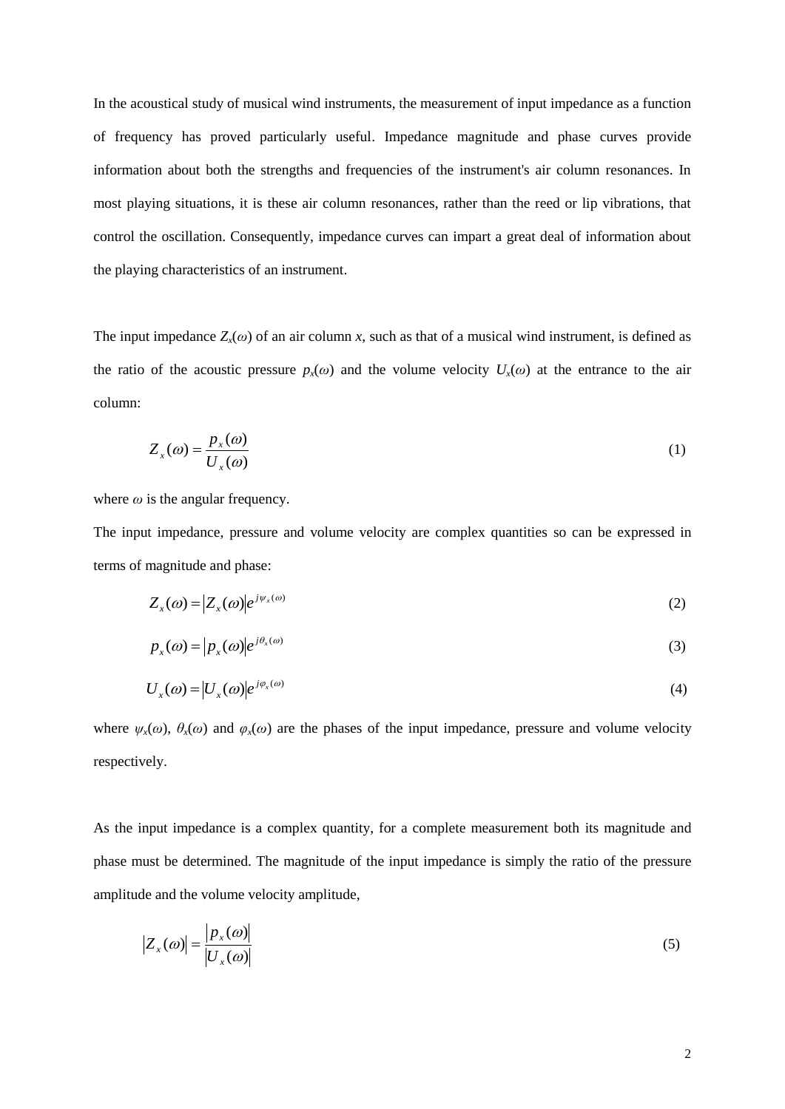In the acoustical study of musical wind instruments, the measurement of input impedance as a function of frequency has proved particularly useful. Impedance magnitude and phase curves provide information about both the strengths and frequencies of the instrument's air column resonances. In most playing situations, it is these air column resonances, rather than the reed or lip vibrations, that control the oscillation. Consequently, impedance curves can impart a great deal of information about the playing characteristics of an instrument.

The input impedance  $Z_x(\omega)$  of an air column *x*, such as that of a musical wind instrument, is defined as the ratio of the acoustic pressure  $p<sub>x</sub>(\omega)$  and the volume velocity  $U<sub>x</sub>(\omega)$  at the entrance to the air column:

$$
Z_x(\omega) = \frac{p_x(\omega)}{U_x(\omega)}\tag{1}
$$

where  $\omega$  is the angular frequency.

The input impedance, pressure and volume velocity are complex quantities so can be expressed in terms of magnitude and phase:

$$
Z_x(\omega) = |Z_x(\omega)|e^{j\psi_x(\omega)}\tag{2}
$$

$$
p_x(\omega) = |p_x(\omega)|e^{j\theta_x(\omega)}
$$
\n(3)

$$
U_x(\omega) = |U_x(\omega)|e^{j\varphi_x(\omega)}\tag{4}
$$

where  $\psi_x(\omega)$ ,  $\theta_x(\omega)$  and  $\varphi_x(\omega)$  are the phases of the input impedance, pressure and volume velocity respectively.

As the input impedance is a complex quantity, for a complete measurement both its magnitude and phase must be determined. The magnitude of the input impedance is simply the ratio of the pressure amplitude and the volume velocity amplitude,

$$
\left|Z_{x}(\omega)\right| = \frac{\left|p_{x}(\omega)\right|}{\left|U_{x}(\omega)\right|} \tag{5}
$$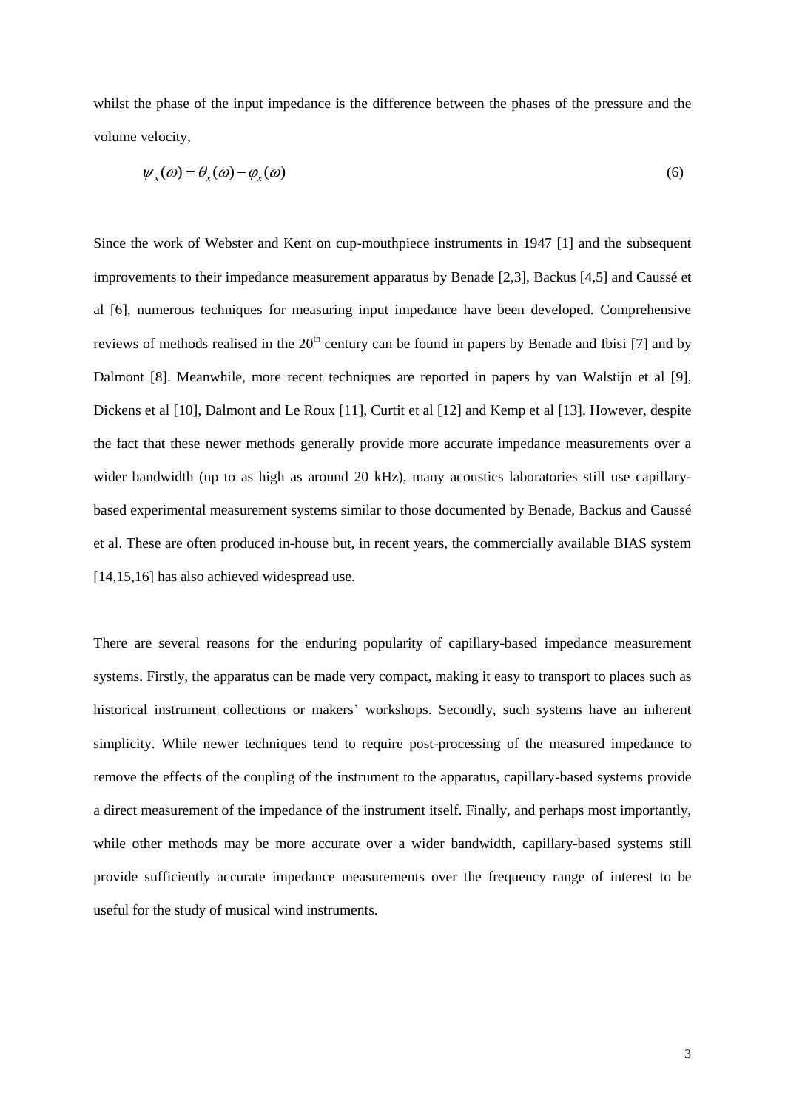whilst the phase of the input impedance is the difference between the phases of the pressure and the volume velocity,

$$
\psi_x(\omega) = \theta_x(\omega) - \varphi_x(\omega) \tag{6}
$$

Since the work of Webster and Kent on cup-mouthpiece instruments in 1947 [1] and the subsequent improvements to their impedance measurement apparatus by Benade [2,3], Backus [4,5] and Caussé et al [6], numerous techniques for measuring input impedance have been developed. Comprehensive reviews of methods realised in the  $20<sup>th</sup>$  century can be found in papers by Benade and Ibisi [7] and by Dalmont [8]. Meanwhile, more recent techniques are reported in papers by van Walstijn et al [9], Dickens et al [10], Dalmont and Le Roux [11], Curtit et al [12] and Kemp et al [13]. However, despite the fact that these newer methods generally provide more accurate impedance measurements over a wider bandwidth (up to as high as around 20 kHz), many acoustics laboratories still use capillarybased experimental measurement systems similar to those documented by Benade, Backus and Caussé et al. These are often produced in-house but, in recent years, the commercially available BIAS system [14,15,16] has also achieved widespread use.

There are several reasons for the enduring popularity of capillary-based impedance measurement systems. Firstly, the apparatus can be made very compact, making it easy to transport to places such as historical instrument collections or makers' workshops. Secondly, such systems have an inherent simplicity. While newer techniques tend to require post-processing of the measured impedance to remove the effects of the coupling of the instrument to the apparatus, capillary-based systems provide a direct measurement of the impedance of the instrument itself. Finally, and perhaps most importantly, while other methods may be more accurate over a wider bandwidth, capillary-based systems still provide sufficiently accurate impedance measurements over the frequency range of interest to be useful for the study of musical wind instruments.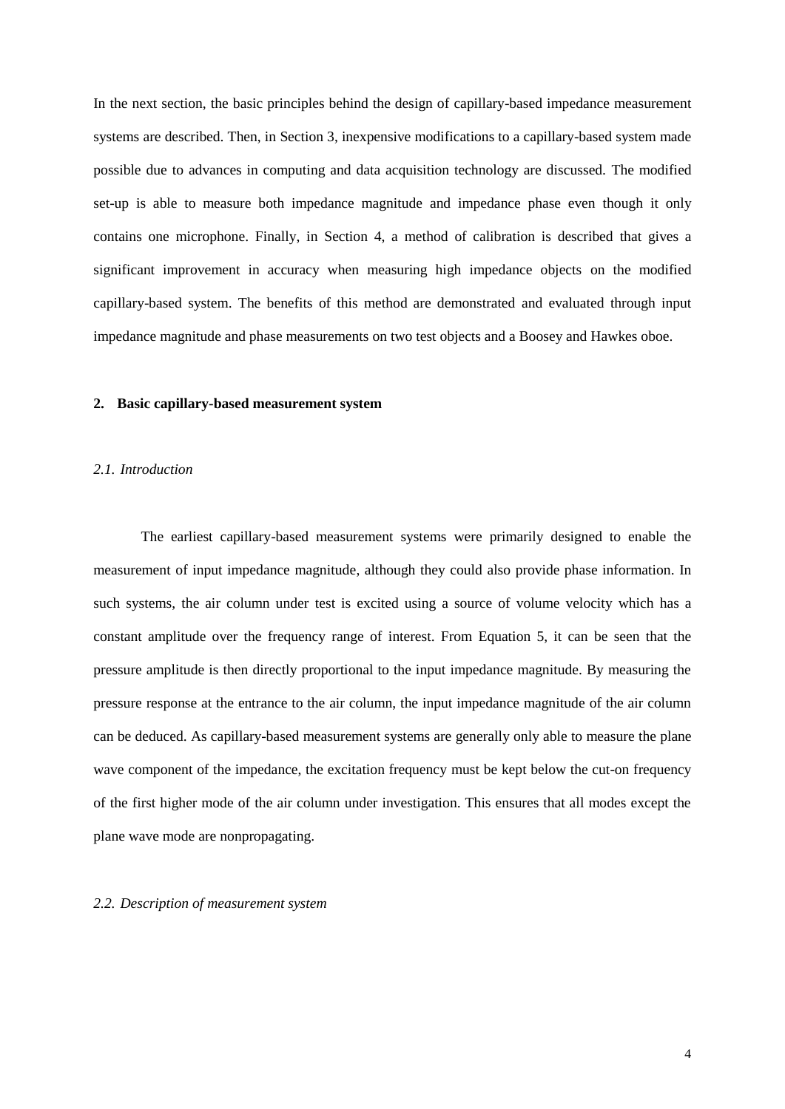In the next section, the basic principles behind the design of capillary-based impedance measurement systems are described. Then, in Section 3, inexpensive modifications to a capillary-based system made possible due to advances in computing and data acquisition technology are discussed. The modified set-up is able to measure both impedance magnitude and impedance phase even though it only contains one microphone. Finally, in Section 4, a method of calibration is described that gives a significant improvement in accuracy when measuring high impedance objects on the modified capillary-based system. The benefits of this method are demonstrated and evaluated through input impedance magnitude and phase measurements on two test objects and a Boosey and Hawkes oboe.

#### **2. Basic capillary-based measurement system**

#### *2.1. Introduction*

The earliest capillary-based measurement systems were primarily designed to enable the measurement of input impedance magnitude, although they could also provide phase information. In such systems, the air column under test is excited using a source of volume velocity which has a constant amplitude over the frequency range of interest. From Equation 5, it can be seen that the pressure amplitude is then directly proportional to the input impedance magnitude. By measuring the pressure response at the entrance to the air column, the input impedance magnitude of the air column can be deduced. As capillary-based measurement systems are generally only able to measure the plane wave component of the impedance, the excitation frequency must be kept below the cut-on frequency of the first higher mode of the air column under investigation. This ensures that all modes except the plane wave mode are nonpropagating.

#### *2.2. Description of measurement system*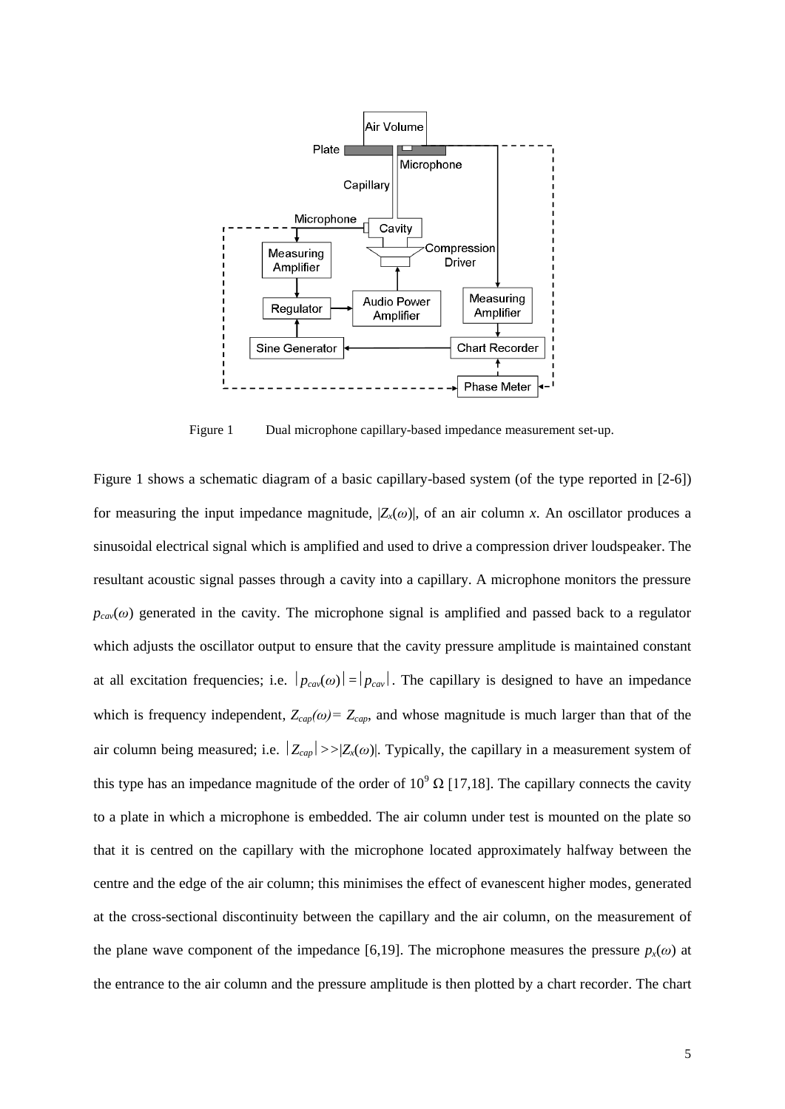

Figure 1 Dual microphone capillary-based impedance measurement set-up.

Figure 1 shows a schematic diagram of a basic capillary-based system (of the type reported in [2-6]) for measuring the input impedance magnitude,  $|Z<sub>x</sub>(\omega)|$ , of an air column x. An oscillator produces a sinusoidal electrical signal which is amplified and used to drive a compression driver loudspeaker. The resultant acoustic signal passes through a cavity into a capillary. A microphone monitors the pressure  $p_{cav}(\omega)$  generated in the cavity. The microphone signal is amplified and passed back to a regulator which adjusts the oscillator output to ensure that the cavity pressure amplitude is maintained constant at all excitation frequencies; i.e.  $|p_{cav}(\omega)| = |p_{cav}|$ . The capillary is designed to have an impedance which is frequency independent,  $Z_{cap}(\omega) = Z_{cap}$ , and whose magnitude is much larger than that of the air column being measured; i.e.  $|Z_{cap}| \gg |Z_{x}(\omega)|$ . Typically, the capillary in a measurement system of this type has an impedance magnitude of the order of  $10^9 \Omega$  [17,18]. The capillary connects the cavity to a plate in which a microphone is embedded. The air column under test is mounted on the plate so that it is centred on the capillary with the microphone located approximately halfway between the centre and the edge of the air column; this minimises the effect of evanescent higher modes, generated at the cross-sectional discontinuity between the capillary and the air column, on the measurement of the plane wave component of the impedance [6,19]. The microphone measures the pressure  $p<sub>x</sub>(\omega)$  at the entrance to the air column and the pressure amplitude is then plotted by a chart recorder. The chart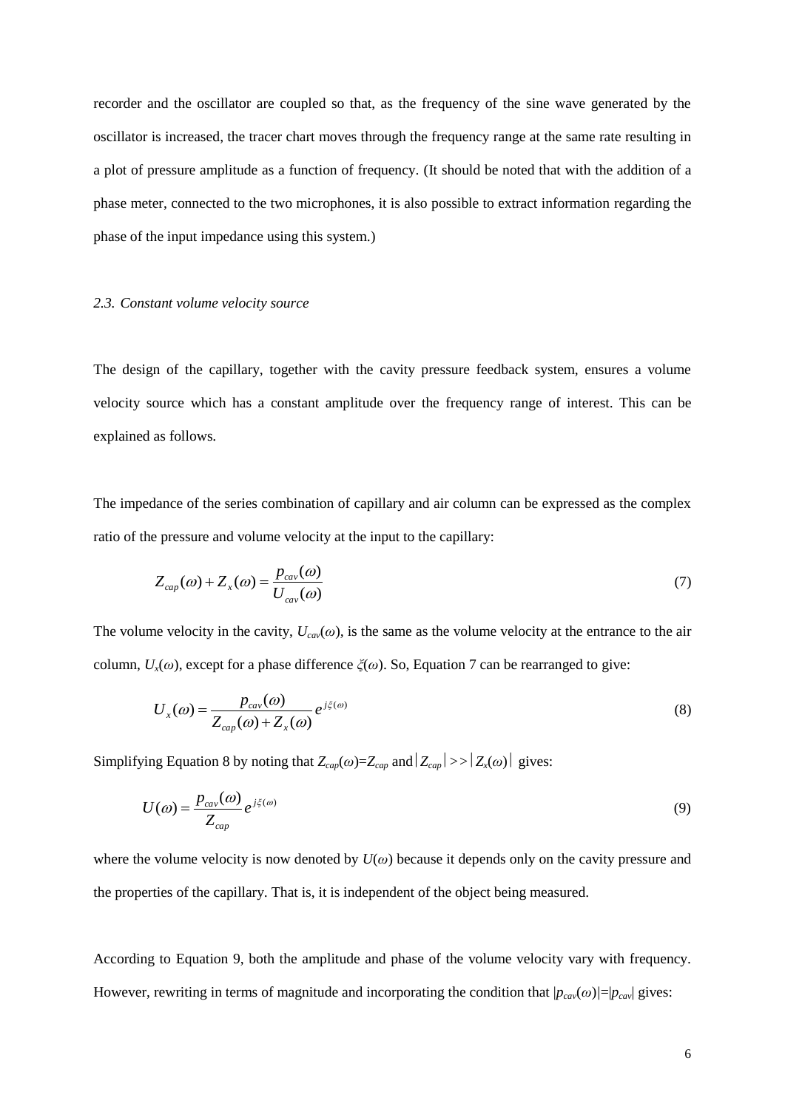recorder and the oscillator are coupled so that, as the frequency of the sine wave generated by the oscillator is increased, the tracer chart moves through the frequency range at the same rate resulting in a plot of pressure amplitude as a function of frequency. (It should be noted that with the addition of a phase meter, connected to the two microphones, it is also possible to extract information regarding the phase of the input impedance using this system.)

#### *2.3. Constant volume velocity source*

The design of the capillary, together with the cavity pressure feedback system, ensures a volume velocity source which has a constant amplitude over the frequency range of interest. This can be explained as follows.

The impedance of the series combination of capillary and air column can be expressed as the complex ratio of the pressure and volume velocity at the input to the capillary:

$$
Z_{cap}(\omega) + Z_x(\omega) = \frac{p_{cav}(\omega)}{U_{cav}(\omega)}\tag{7}
$$

The volume velocity in the cavity,  $U_{\text{cav}}(\omega)$ , is the same as the volume velocity at the entrance to the air column,  $U_x(\omega)$ , except for a phase difference  $\zeta(\omega)$ . So, Equation 7 can be rearranged to give:

$$
U_x(\omega) = \frac{p_{cav}(\omega)}{Z_{cap}(\omega) + Z_x(\omega)} e^{j\xi(\omega)}
$$
\n(8)

Simplifying Equation 8 by noting that  $Z_{cap}(\omega) = Z_{cap}$  and  $|Z_{cap}| >> |Z_{x}(\omega)|$  gives:

$$
U(\omega) = \frac{p_{\text{cav}}(\omega)}{Z_{\text{cap}}} e^{j\xi(\omega)} \tag{9}
$$

where the volume velocity is now denoted by *U*(*ω*) because it depends only on the cavity pressure and the properties of the capillary. That is, it is independent of the object being measured.

According to Equation 9, both the amplitude and phase of the volume velocity vary with frequency. However, rewriting in terms of magnitude and incorporating the condition that  $|p_{cav}(\omega)| = |p_{cav}|$  gives: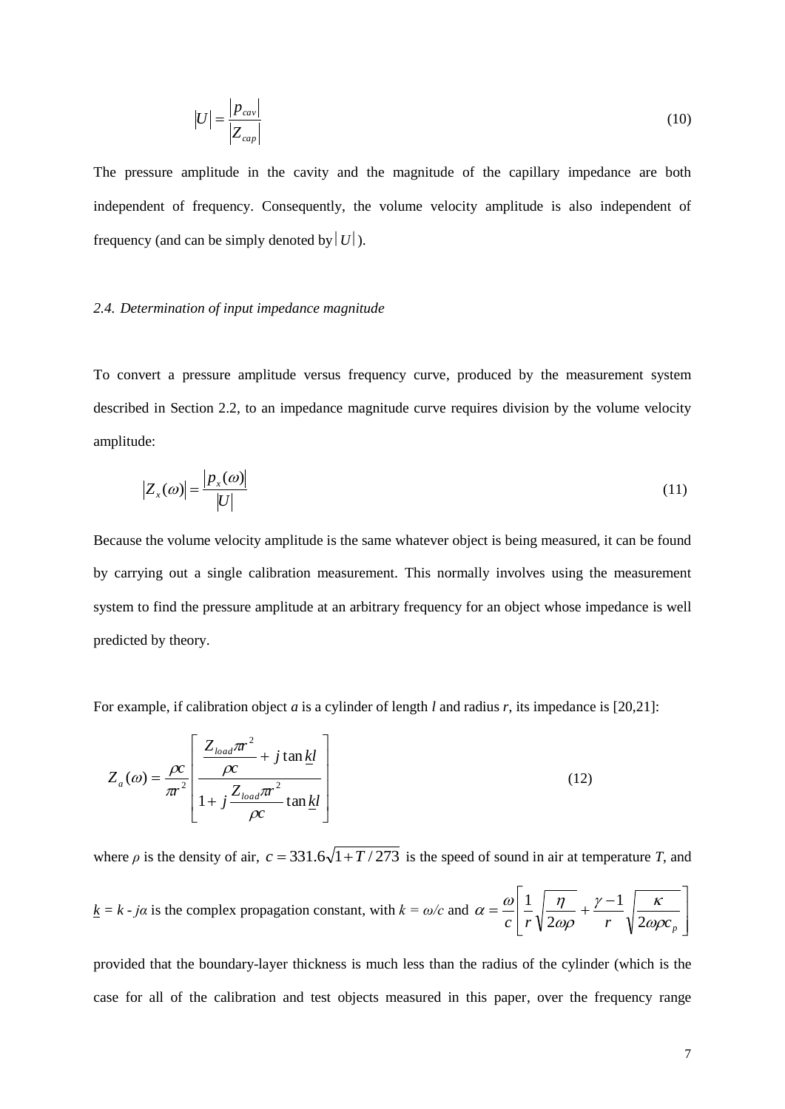$$
|U| = \frac{|p_{\text{cav}}|}{|Z_{\text{cap}}|}
$$
 (10)

The pressure amplitude in the cavity and the magnitude of the capillary impedance are both independent of frequency. Consequently, the volume velocity amplitude is also independent of frequency (and can be simply denoted by  $|U|$ ).

### *2.4. Determination of input impedance magnitude*

To convert a pressure amplitude versus frequency curve, produced by the measurement system described in Section 2.2, to an impedance magnitude curve requires division by the volume velocity amplitude:

$$
\left|Z_x(\omega)\right| = \frac{\left|p_x(\omega)\right|}{\left|U\right|} \tag{11}
$$

Because the volume velocity amplitude is the same whatever object is being measured, it can be found by carrying out a single calibration measurement. This normally involves using the measurement system to find the pressure amplitude at an arbitrary frequency for an object whose impedance is well predicted by theory.

For example, if calibration object *a* is a cylinder of length *l* and radius *r*, its impedance is [20,21]:

$$
Z_a(\omega) = \frac{\rho c}{\pi r^2} \left[ \frac{\frac{Z_{load}\pi r^2}{\rho c} + j \tan \underline{kl}}{1 + j \frac{Z_{load}\pi r^2}{\rho c} \tan \underline{kl}} \right]
$$
(12)

where  $\rho$  is the density of air,  $c = 331.6\sqrt{1 + T}/273$  is the speed of sound in air at temperature *T*, and

 $k = k - ja$  is the complex propagation constant, with  $k = \omega/c$  and  $\overline{\phantom{a}}$   $\mathsf{I}$  $\mathsf{I}$ L  $=\frac{\omega}{\sqrt{1-\frac{\eta}{\sqrt{1-\frac{1}{\sqrt{1-\frac{1}{\sqrt{1-\frac{1}{\sqrt{1-\frac{1}{\sqrt{1-\frac{1}{\sqrt{1-\frac{1}{\sqrt{1-\frac{1}{\sqrt{1-\frac{1}{\sqrt{1-\frac{1}{\sqrt{1-\frac{1}{\sqrt{1-\frac{1}{\sqrt{1-\frac{1}{\sqrt{1-\frac{1}{\sqrt{1-\frac{1}{\sqrt{1-\frac{1}{\sqrt{1-\frac{1}{\sqrt{1-\frac{1}{\sqrt{1-\frac{1}{\sqrt{1-\frac{1}{\sqrt{1-\frac{1}{\sqrt{1-\frac{1}{\sqrt{1-\frac{1}{\sqrt{1-\frac{1$  $\alpha$  *c r*  $\sqrt{2\omega\rho}$  *r*  $\sqrt{2\omega\rho}$  $\gamma-1$  | K  $\omega\rho$  $\alpha = \frac{\omega}{c} \left| \frac{1}{r} \sqrt{\frac{\eta}{2\omega\rho} + \frac{\gamma - 1}{r}} \sqrt{\frac{1}{2}} \right|$ 1 2 1

provided that the boundary-layer thickness is much less than the radius of the cylinder (which is the case for all of the calibration and test objects measured in this paper, over the frequency range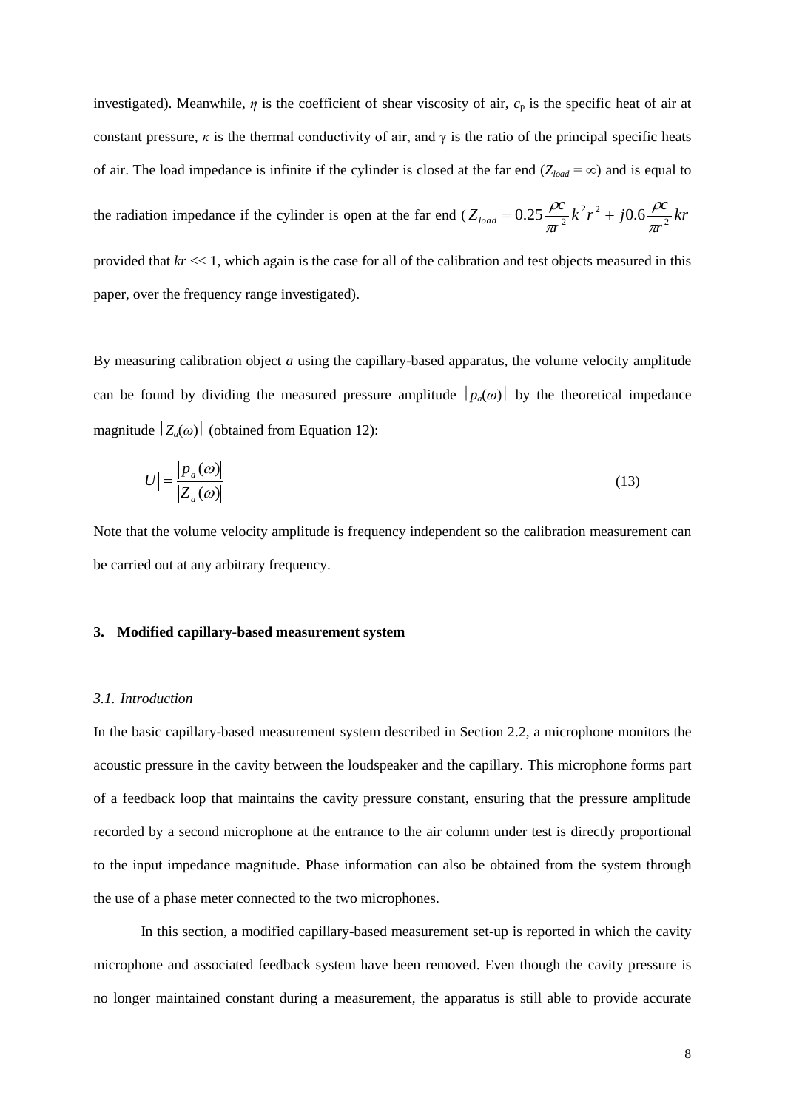investigated). Meanwhile,  $\eta$  is the coefficient of shear viscosity of air,  $c_p$  is the specific heat of air at constant pressure,  $\kappa$  is the thermal conductivity of air, and  $\gamma$  is the ratio of the principal specific heats of air. The load impedance is infinite if the cylinder is closed at the far end  $(Z_{load} = \infty)$  and is equal to the radiation impedance if the cylinder is open at the far end  $(Z_{load} = 0.25 \frac{\mu}{\epsilon_0} k^2 r^2 + j0.6 \frac{\mu}{\epsilon_0} k r^2)$ *r*  $k^2 r^2 + j0.6 \frac{\rho c}{r^2}$ *r*  $Z_{load} = 0.25 \frac{\rho c}{\pi r^2} \frac{k^2 r^2 + j0.6 \frac{\rho c}{\pi r^2}}{r^2}$  $\frac{6.25 \frac{\mu}{\pi r^2} k^2 r^2 + j0.6 \frac{\mu}{\pi}}{r^2}$  $\rho$ π  $= 0.25 \frac{\rho c}{r^2} k^2 r^2 +$ provided that *kr* << 1, which again is the case for all of the calibration and test objects measured in this paper, over the frequency range investigated).

By measuring calibration object *a* using the capillary-based apparatus, the volume velocity amplitude can be found by dividing the measured pressure amplitude  $|p_a(\omega)|$  by the theoretical impedance magnitude  $|Z_a(\omega)|$  (obtained from Equation 12):

$$
|U| = \frac{|p_a(\omega)|}{|Z_a(\omega)|} \tag{13}
$$

Note that the volume velocity amplitude is frequency independent so the calibration measurement can be carried out at any arbitrary frequency.

#### **3. Modified capillary-based measurement system**

#### *3.1. Introduction*

In the basic capillary-based measurement system described in Section 2.2, a microphone monitors the acoustic pressure in the cavity between the loudspeaker and the capillary. This microphone forms part of a feedback loop that maintains the cavity pressure constant, ensuring that the pressure amplitude recorded by a second microphone at the entrance to the air column under test is directly proportional to the input impedance magnitude. Phase information can also be obtained from the system through the use of a phase meter connected to the two microphones.

In this section, a modified capillary-based measurement set-up is reported in which the cavity microphone and associated feedback system have been removed. Even though the cavity pressure is no longer maintained constant during a measurement, the apparatus is still able to provide accurate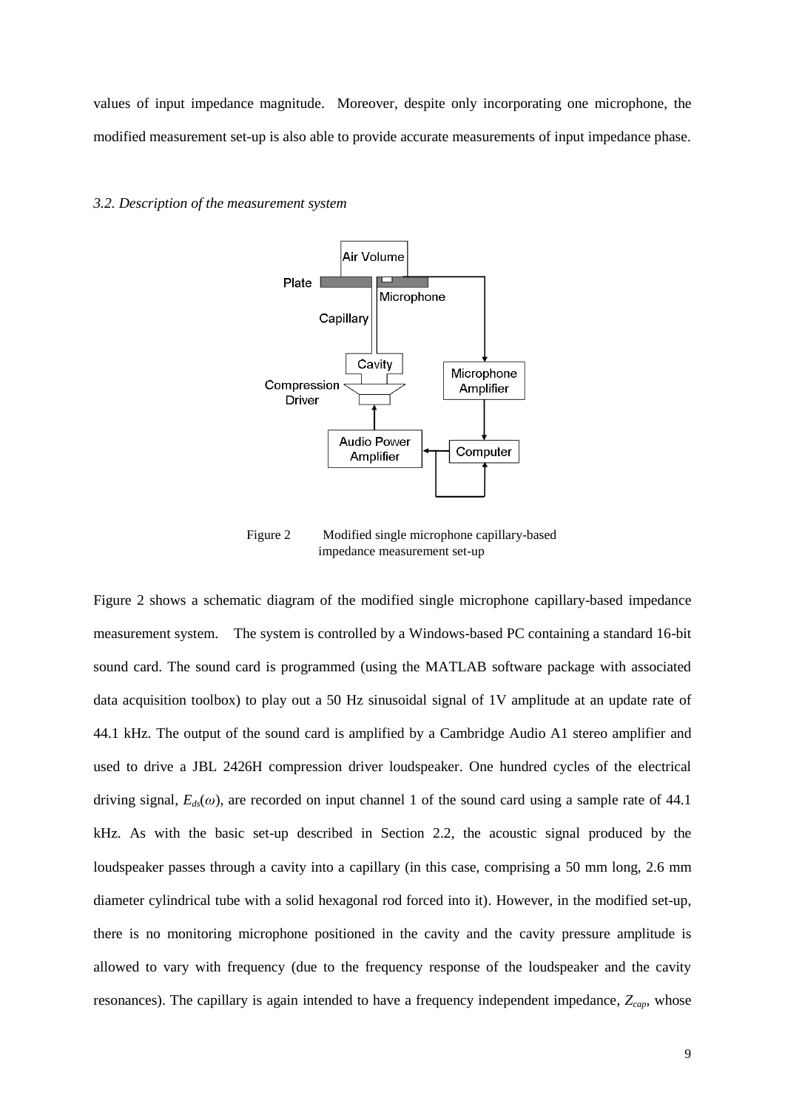values of input impedance magnitude. Moreover, despite only incorporating one microphone, the modified measurement set-up is also able to provide accurate measurements of input impedance phase.

#### *3.2. Description of the measurement system*



Figure 2 Modified single microphone capillary-based impedance measurement set-up

Figure 2 shows a schematic diagram of the modified single microphone capillary-based impedance measurement system. The system is controlled by a Windows-based PC containing a standard 16-bit sound card. The sound card is programmed (using the MATLAB software package with associated data acquisition toolbox) to play out a 50 Hz sinusoidal signal of 1V amplitude at an update rate of 44.1 kHz. The output of the sound card is amplified by a Cambridge Audio A1 stereo amplifier and used to drive a JBL 2426H compression driver loudspeaker. One hundred cycles of the electrical driving signal,  $E_d(\omega)$ , are recorded on input channel 1 of the sound card using a sample rate of 44.1 kHz. As with the basic set-up described in Section 2.2, the acoustic signal produced by the loudspeaker passes through a cavity into a capillary (in this case, comprising a 50 mm long, 2.6 mm diameter cylindrical tube with a solid hexagonal rod forced into it). However, in the modified set-up, there is no monitoring microphone positioned in the cavity and the cavity pressure amplitude is allowed to vary with frequency (due to the frequency response of the loudspeaker and the cavity resonances). The capillary is again intended to have a frequency independent impedance, *Zcap*, whose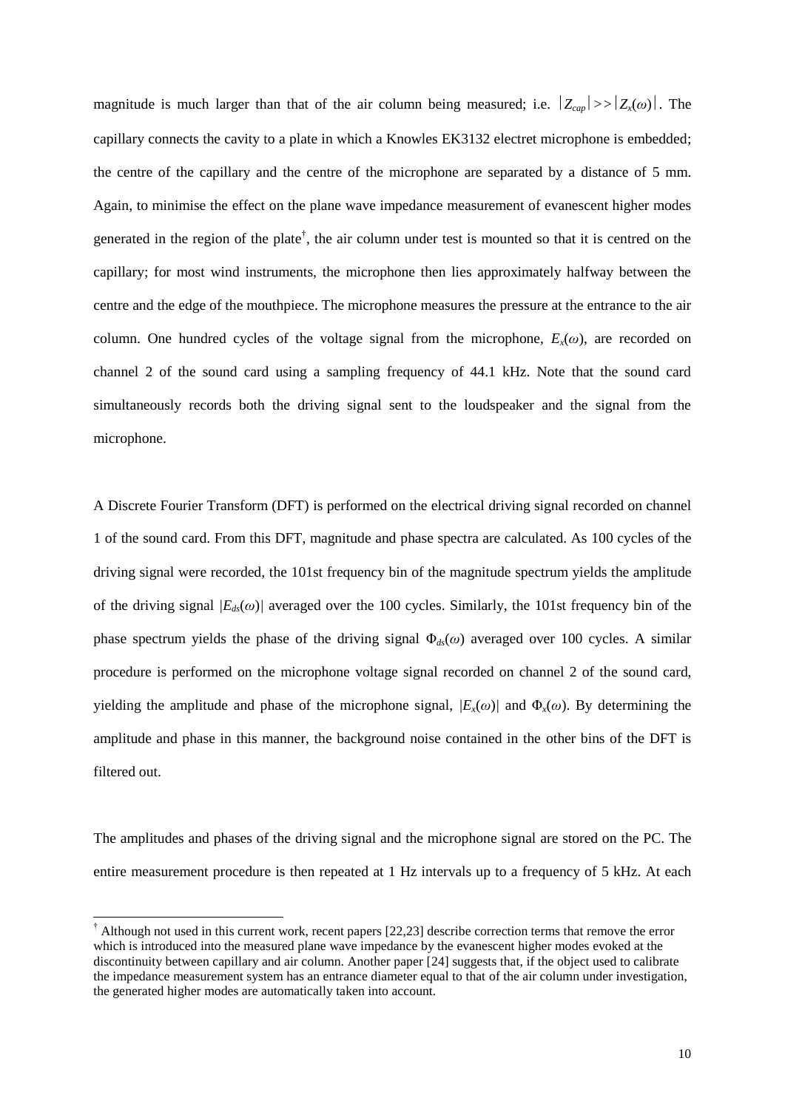magnitude is much larger than that of the air column being measured; i.e.  $|Z_{cap}| \gg |Z_{\chi}(0)|$ . The capillary connects the cavity to a plate in which a Knowles EK3132 electret microphone is embedded; the centre of the capillary and the centre of the microphone are separated by a distance of 5 mm. Again, to minimise the effect on the plane wave impedance measurement of evanescent higher modes generated in the region of the plate<sup>†</sup>, the air column under test is mounted so that it is centred on the capillary; for most wind instruments, the microphone then lies approximately halfway between the centre and the edge of the mouthpiece. The microphone measures the pressure at the entrance to the air column. One hundred cycles of the voltage signal from the microphone,  $E<sub>x</sub>(\omega)$ , are recorded on channel 2 of the sound card using a sampling frequency of 44.1 kHz. Note that the sound card simultaneously records both the driving signal sent to the loudspeaker and the signal from the microphone.

A Discrete Fourier Transform (DFT) is performed on the electrical driving signal recorded on channel 1 of the sound card. From this DFT, magnitude and phase spectra are calculated. As 100 cycles of the driving signal were recorded, the 101st frequency bin of the magnitude spectrum yields the amplitude of the driving signal  $|E_{ds}(\omega)|$  averaged over the 100 cycles. Similarly, the 101st frequency bin of the phase spectrum yields the phase of the driving signal Φ*ds*(*ω*) averaged over 100 cycles. A similar procedure is performed on the microphone voltage signal recorded on channel 2 of the sound card, yielding the amplitude and phase of the microphone signal,  $/E_x(\omega)$  and  $\Phi_x(\omega)$ . By determining the amplitude and phase in this manner, the background noise contained in the other bins of the DFT is filtered out.

The amplitudes and phases of the driving signal and the microphone signal are stored on the PC. The entire measurement procedure is then repeated at 1 Hz intervals up to a frequency of 5 kHz. At each

 $\overline{a}$ 

<sup>&</sup>lt;sup>†</sup> Although not used in this current work, recent papers [22,23] describe correction terms that remove the error which is introduced into the measured plane wave impedance by the evanescent higher modes evoked at the discontinuity between capillary and air column. Another paper [24] suggests that, if the object used to calibrate the impedance measurement system has an entrance diameter equal to that of the air column under investigation, the generated higher modes are automatically taken into account.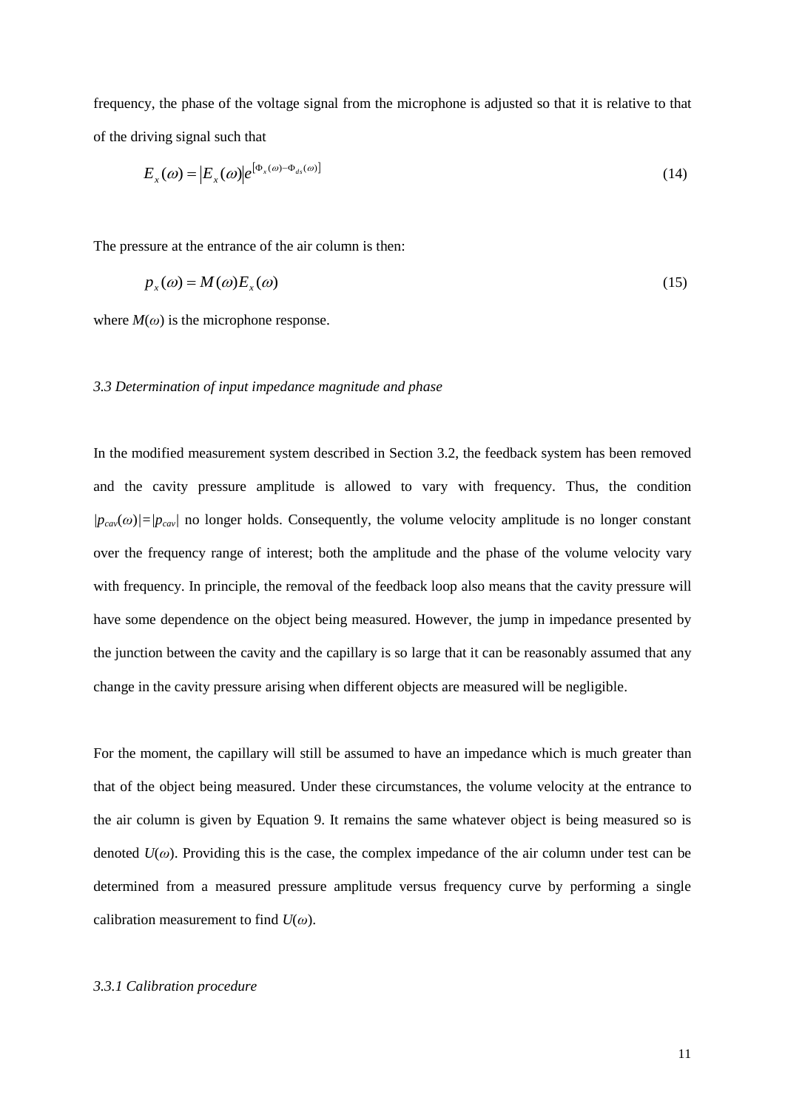frequency, the phase of the voltage signal from the microphone is adjusted so that it is relative to that of the driving signal such that

$$
E_x(\omega) = \left| E_x(\omega) \right| e^{\left[ \Phi_x(\omega) - \Phi_{ds}(\omega) \right]}
$$
 (14)

The pressure at the entrance of the air column is then:

$$
p_x(\omega) = M(\omega) E_x(\omega) \tag{15}
$$

where  $M(\omega)$  is the microphone response.

# *3.3 Determination of input impedance magnitude and phase*

In the modified measurement system described in Section 3.2, the feedback system has been removed and the cavity pressure amplitude is allowed to vary with frequency. Thus, the condition  $|p_{cav}(\omega)| = |p_{cav}|$  no longer holds. Consequently, the volume velocity amplitude is no longer constant over the frequency range of interest; both the amplitude and the phase of the volume velocity vary with frequency. In principle, the removal of the feedback loop also means that the cavity pressure will have some dependence on the object being measured. However, the jump in impedance presented by the junction between the cavity and the capillary is so large that it can be reasonably assumed that any change in the cavity pressure arising when different objects are measured will be negligible.

For the moment, the capillary will still be assumed to have an impedance which is much greater than that of the object being measured. Under these circumstances, the volume velocity at the entrance to the air column is given by Equation 9. It remains the same whatever object is being measured so is denoted  $U(\omega)$ . Providing this is the case, the complex impedance of the air column under test can be determined from a measured pressure amplitude versus frequency curve by performing a single calibration measurement to find *U*(*ω*).

#### *3.3.1 Calibration procedure*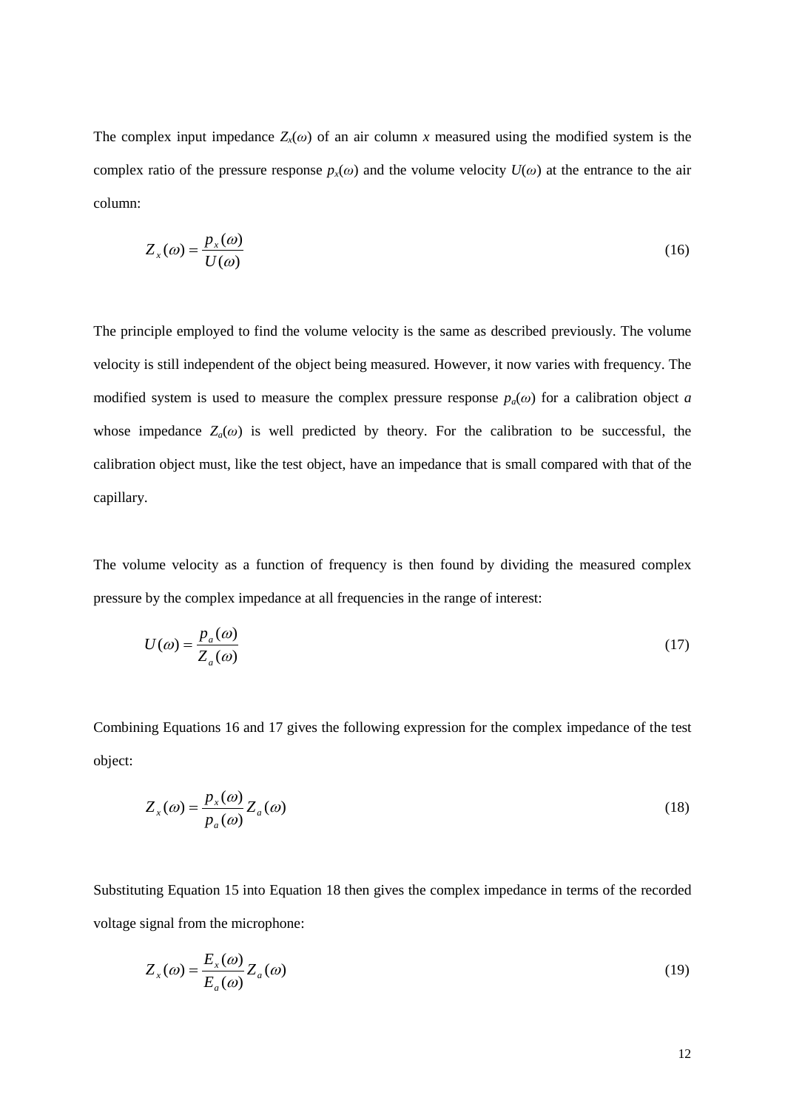The complex input impedance  $Z_x(\omega)$  of an air column x measured using the modified system is the complex ratio of the pressure response  $p<sub>x</sub>(\omega)$  and the volume velocity  $U(\omega)$  at the entrance to the air column:

$$
Z_x(\omega) = \frac{p_x(\omega)}{U(\omega)}\tag{16}
$$

The principle employed to find the volume velocity is the same as described previously. The volume velocity is still independent of the object being measured. However, it now varies with frequency. The modified system is used to measure the complex pressure response  $p_a(\omega)$  for a calibration object *a* whose impedance  $Z_a(\omega)$  is well predicted by theory. For the calibration to be successful, the calibration object must, like the test object, have an impedance that is small compared with that of the capillary.

The volume velocity as a function of frequency is then found by dividing the measured complex pressure by the complex impedance at all frequencies in the range of interest:

$$
U(\omega) = \frac{p_a(\omega)}{Z_a(\omega)}\tag{17}
$$

Combining Equations 16 and 17 gives the following expression for the complex impedance of the test object:

$$
Z_x(\omega) = \frac{p_x(\omega)}{p_a(\omega)} Z_a(\omega)
$$
\n(18)

Substituting Equation 15 into Equation 18 then gives the complex impedance in terms of the recorded voltage signal from the microphone:

$$
Z_x(\omega) = \frac{E_x(\omega)}{E_a(\omega)} Z_a(\omega)
$$
\n(19)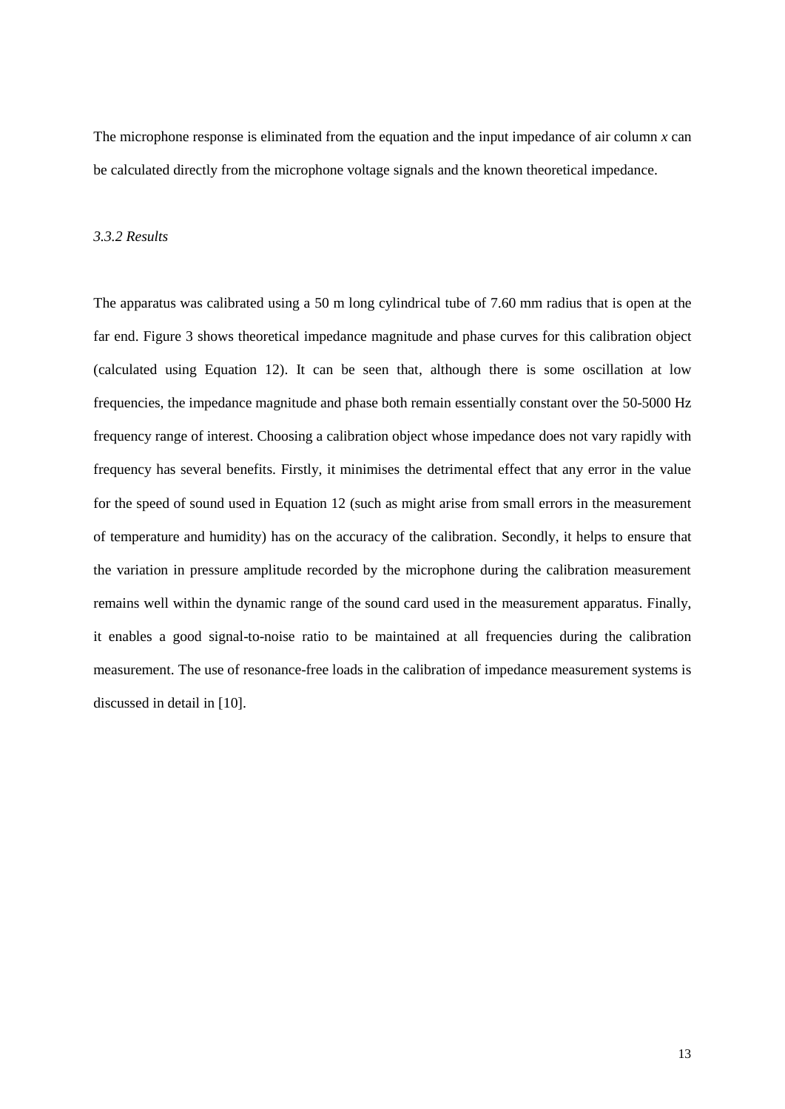The microphone response is eliminated from the equation and the input impedance of air column *x* can be calculated directly from the microphone voltage signals and the known theoretical impedance.

#### *3.3.2 Results*

The apparatus was calibrated using a 50 m long cylindrical tube of 7.60 mm radius that is open at the far end. Figure 3 shows theoretical impedance magnitude and phase curves for this calibration object (calculated using Equation 12). It can be seen that, although there is some oscillation at low frequencies, the impedance magnitude and phase both remain essentially constant over the 50-5000 Hz frequency range of interest. Choosing a calibration object whose impedance does not vary rapidly with frequency has several benefits. Firstly, it minimises the detrimental effect that any error in the value for the speed of sound used in Equation 12 (such as might arise from small errors in the measurement of temperature and humidity) has on the accuracy of the calibration. Secondly, it helps to ensure that the variation in pressure amplitude recorded by the microphone during the calibration measurement remains well within the dynamic range of the sound card used in the measurement apparatus. Finally, it enables a good signal-to-noise ratio to be maintained at all frequencies during the calibration measurement. The use of resonance-free loads in the calibration of impedance measurement systems is discussed in detail in [10].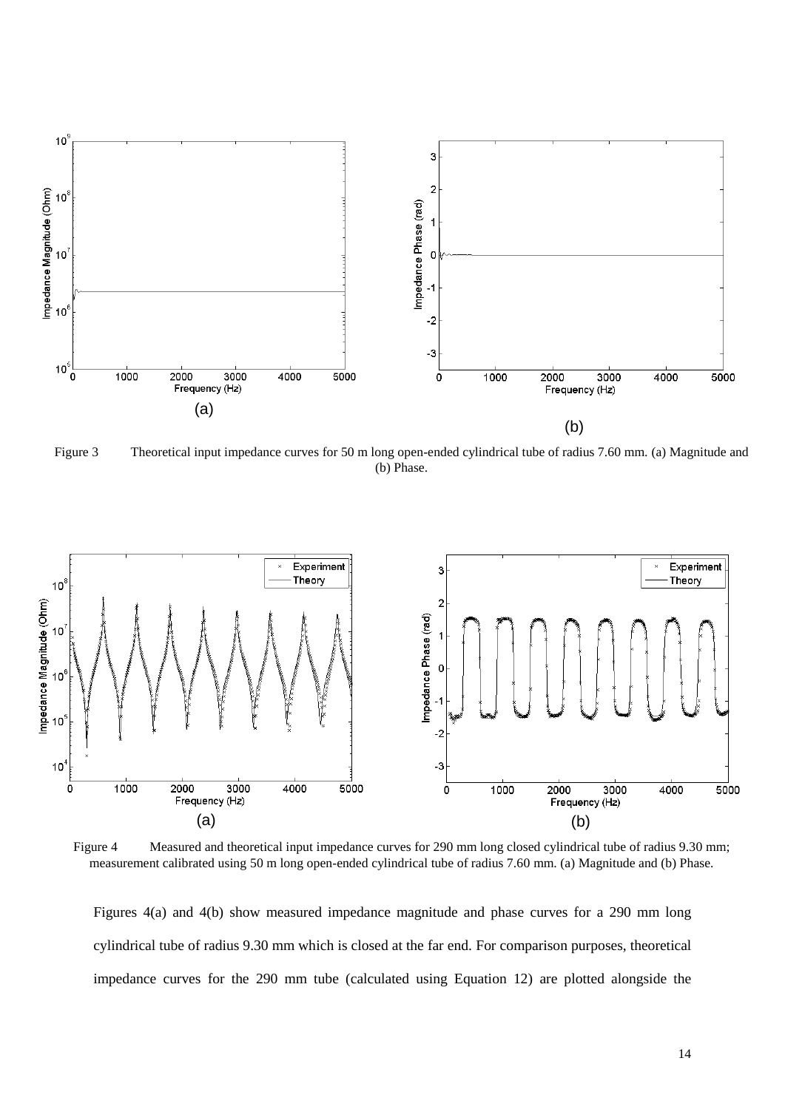

Figure 3 Theoretical input impedance curves for 50 m long open-ended cylindrical tube of radius 7.60 mm. (a) Magnitude and (b) Phase.



Figure 4 Measured and theoretical input impedance curves for 290 mm long closed cylindrical tube of radius 9.30 mm; measurement calibrated using 50 m long open-ended cylindrical tube of radius 7.60 mm. (a) Magnitude and (b) Phase.

Figures 4(a) and 4(b) show measured impedance magnitude and phase curves for a 290 mm long cylindrical tube of radius 9.30 mm which is closed at the far end. For comparison purposes, theoretical impedance curves for the 290 mm tube (calculated using Equation 12) are plotted alongside the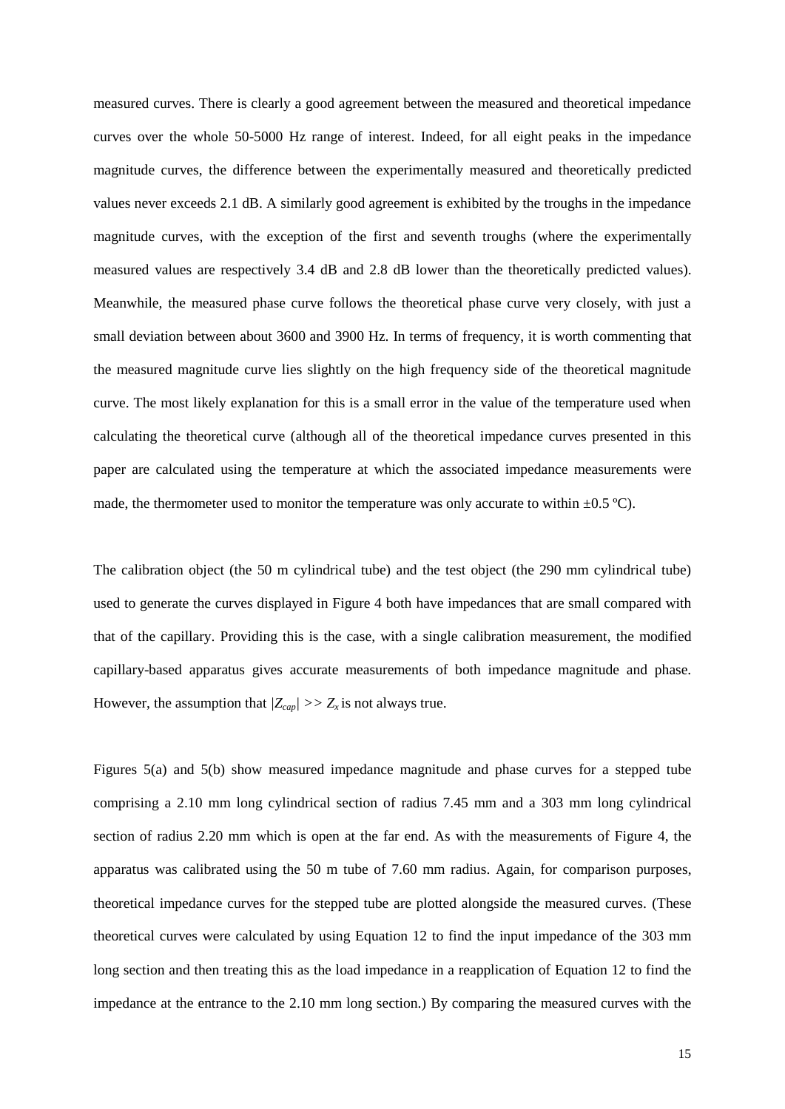measured curves. There is clearly a good agreement between the measured and theoretical impedance curves over the whole 50-5000 Hz range of interest. Indeed, for all eight peaks in the impedance magnitude curves, the difference between the experimentally measured and theoretically predicted values never exceeds 2.1 dB. A similarly good agreement is exhibited by the troughs in the impedance magnitude curves, with the exception of the first and seventh troughs (where the experimentally measured values are respectively 3.4 dB and 2.8 dB lower than the theoretically predicted values). Meanwhile, the measured phase curve follows the theoretical phase curve very closely, with just a small deviation between about 3600 and 3900 Hz. In terms of frequency, it is worth commenting that the measured magnitude curve lies slightly on the high frequency side of the theoretical magnitude curve. The most likely explanation for this is a small error in the value of the temperature used when calculating the theoretical curve (although all of the theoretical impedance curves presented in this paper are calculated using the temperature at which the associated impedance measurements were made, the thermometer used to monitor the temperature was only accurate to within  $\pm 0.5 \degree C$ .

The calibration object (the 50 m cylindrical tube) and the test object (the 290 mm cylindrical tube) used to generate the curves displayed in Figure 4 both have impedances that are small compared with that of the capillary. Providing this is the case, with a single calibration measurement, the modified capillary-based apparatus gives accurate measurements of both impedance magnitude and phase. However, the assumption that  $|Z_{cap}| >> Z_x$  is not always true.

Figures 5(a) and 5(b) show measured impedance magnitude and phase curves for a stepped tube comprising a 2.10 mm long cylindrical section of radius 7.45 mm and a 303 mm long cylindrical section of radius 2.20 mm which is open at the far end. As with the measurements of Figure 4, the apparatus was calibrated using the 50 m tube of 7.60 mm radius. Again, for comparison purposes, theoretical impedance curves for the stepped tube are plotted alongside the measured curves. (These theoretical curves were calculated by using Equation 12 to find the input impedance of the 303 mm long section and then treating this as the load impedance in a reapplication of Equation 12 to find the impedance at the entrance to the 2.10 mm long section.) By comparing the measured curves with the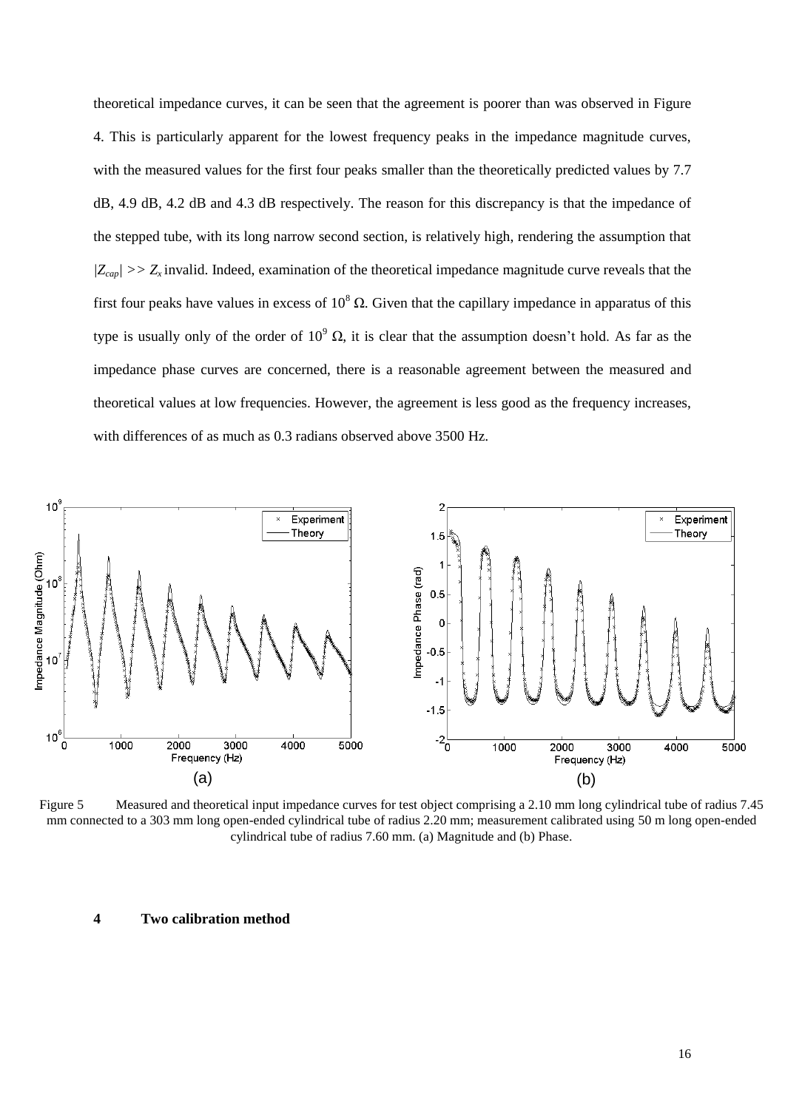theoretical impedance curves, it can be seen that the agreement is poorer than was observed in Figure 4. This is particularly apparent for the lowest frequency peaks in the impedance magnitude curves, with the measured values for the first four peaks smaller than the theoretically predicted values by 7.7 dB, 4.9 dB, 4.2 dB and 4.3 dB respectively. The reason for this discrepancy is that the impedance of the stepped tube, with its long narrow second section, is relatively high, rendering the assumption that  $|Z_{cap}| >> Z_x$  invalid. Indeed, examination of the theoretical impedance magnitude curve reveals that the first four peaks have values in excess of  $10^8 \Omega$ . Given that the capillary impedance in apparatus of this type is usually only of the order of  $10^9$  Ω, it is clear that the assumption doesn't hold. As far as the impedance phase curves are concerned, there is a reasonable agreement between the measured and theoretical values at low frequencies. However, the agreement is less good as the frequency increases, with differences of as much as 0.3 radians observed above 3500 Hz.



Figure 5 Measured and theoretical input impedance curves for test object comprising a 2.10 mm long cylindrical tube of radius 7.45 mm connected to a 303 mm long open-ended cylindrical tube of radius 2.20 mm; measurement calibrated using 50 m long open-ended cylindrical tube of radius 7.60 mm. (a) Magnitude and (b) Phase.

#### **4 Two calibration method**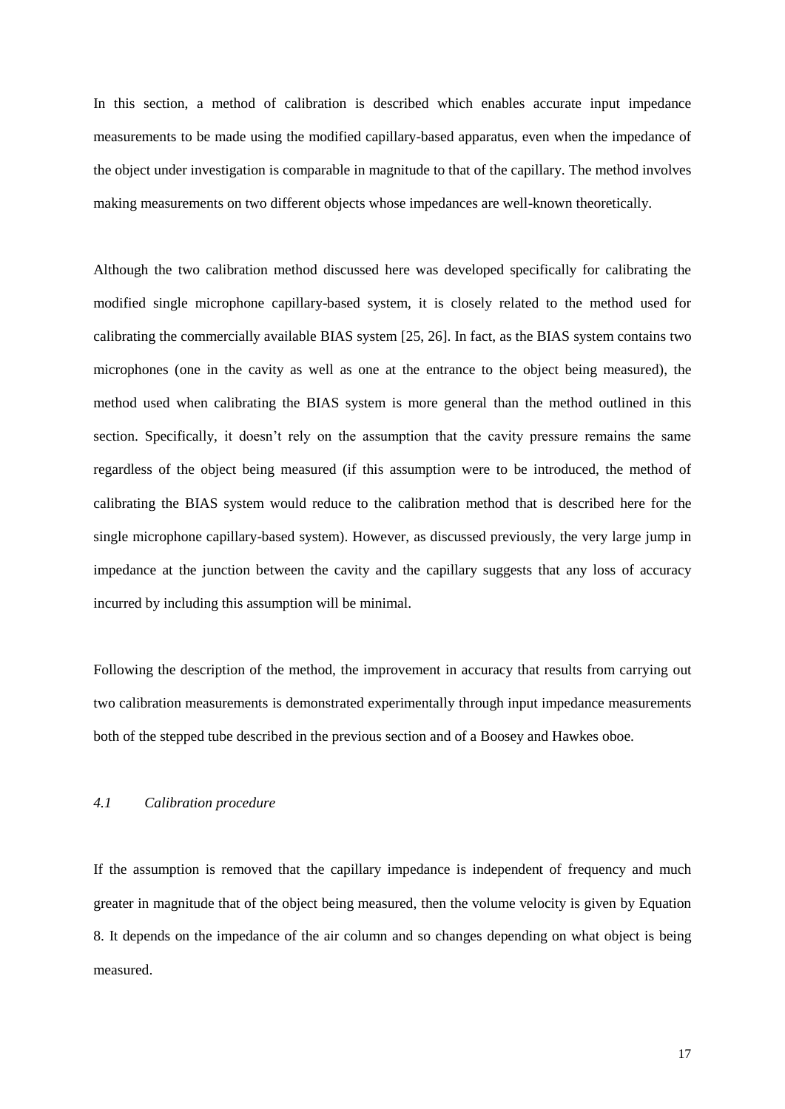In this section, a method of calibration is described which enables accurate input impedance measurements to be made using the modified capillary-based apparatus, even when the impedance of the object under investigation is comparable in magnitude to that of the capillary. The method involves making measurements on two different objects whose impedances are well-known theoretically.

Although the two calibration method discussed here was developed specifically for calibrating the modified single microphone capillary-based system, it is closely related to the method used for calibrating the commercially available BIAS system [25, 26]. In fact, as the BIAS system contains two microphones (one in the cavity as well as one at the entrance to the object being measured), the method used when calibrating the BIAS system is more general than the method outlined in this section. Specifically, it doesn't rely on the assumption that the cavity pressure remains the same regardless of the object being measured (if this assumption were to be introduced, the method of calibrating the BIAS system would reduce to the calibration method that is described here for the single microphone capillary-based system). However, as discussed previously, the very large jump in impedance at the junction between the cavity and the capillary suggests that any loss of accuracy incurred by including this assumption will be minimal.

Following the description of the method, the improvement in accuracy that results from carrying out two calibration measurements is demonstrated experimentally through input impedance measurements both of the stepped tube described in the previous section and of a Boosey and Hawkes oboe.

# *4.1 Calibration procedure*

If the assumption is removed that the capillary impedance is independent of frequency and much greater in magnitude that of the object being measured, then the volume velocity is given by Equation 8. It depends on the impedance of the air column and so changes depending on what object is being measured.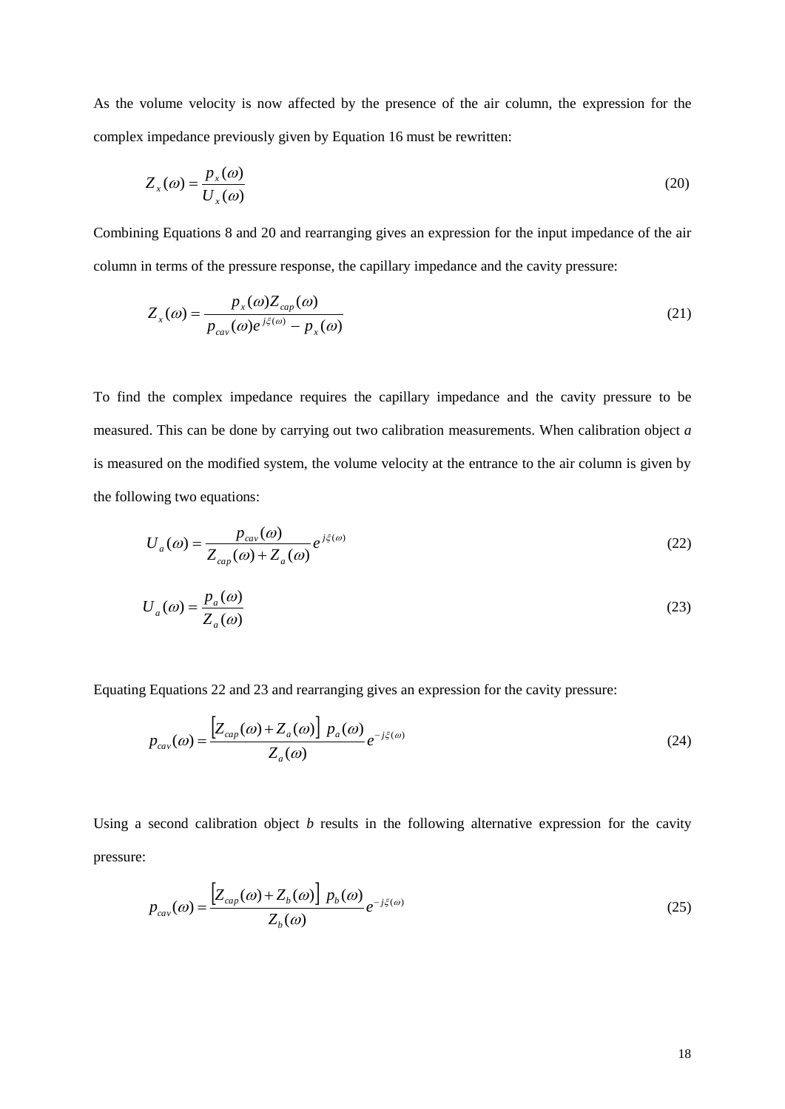As the volume velocity is now affected by the presence of the air column, the expression for the complex impedance previously given by Equation 16 must be rewritten:

$$
Z_x(\omega) = \frac{p_x(\omega)}{U_x(\omega)}\tag{20}
$$

Combining Equations 8 and 20 and rearranging gives an expression for the input impedance of the air column in terms of the pressure response, the capillary impedance and the cavity pressure:

$$
Z_x(\omega) = \frac{p_x(\omega) Z_{cap}(\omega)}{p_{cav}(\omega) e^{j\xi(\omega)} - p_x(\omega)}
$$
(21)

To find the complex impedance requires the capillary impedance and the cavity pressure to be measured. This can be done by carrying out two calibration measurements. When calibration object *a* is measured on the modified system, the volume velocity at the entrance to the air column is given by the following two equations:

$$
U_a(\omega) = \frac{p_{cav}(\omega)}{Z_{cap}(\omega) + Z_a(\omega)} e^{j\xi(\omega)}
$$
\n(22)

$$
U_a(\omega) = \frac{p_a(\omega)}{Z_a(\omega)}\tag{23}
$$

Equating Equations 22 and 23 and rearranging gives an expression for the cavity pressure:

 $\overline{a}$ 

$$
p_{\text{cav}}(\omega) = \frac{\left[Z_{\text{cap}}(\omega) + Z_a(\omega)\right] p_a(\omega)}{Z_a(\omega)} e^{-j\xi(\omega)}
$$
(24)

Using a second calibration object *b* results in the following alternative expression for the cavity pressure:

$$
p_{\text{cav}}(\omega) = \frac{\left[Z_{\text{cap}}(\omega) + Z_b(\omega)\right] p_b(\omega)}{Z_b(\omega)} e^{-j\xi(\omega)} \tag{25}
$$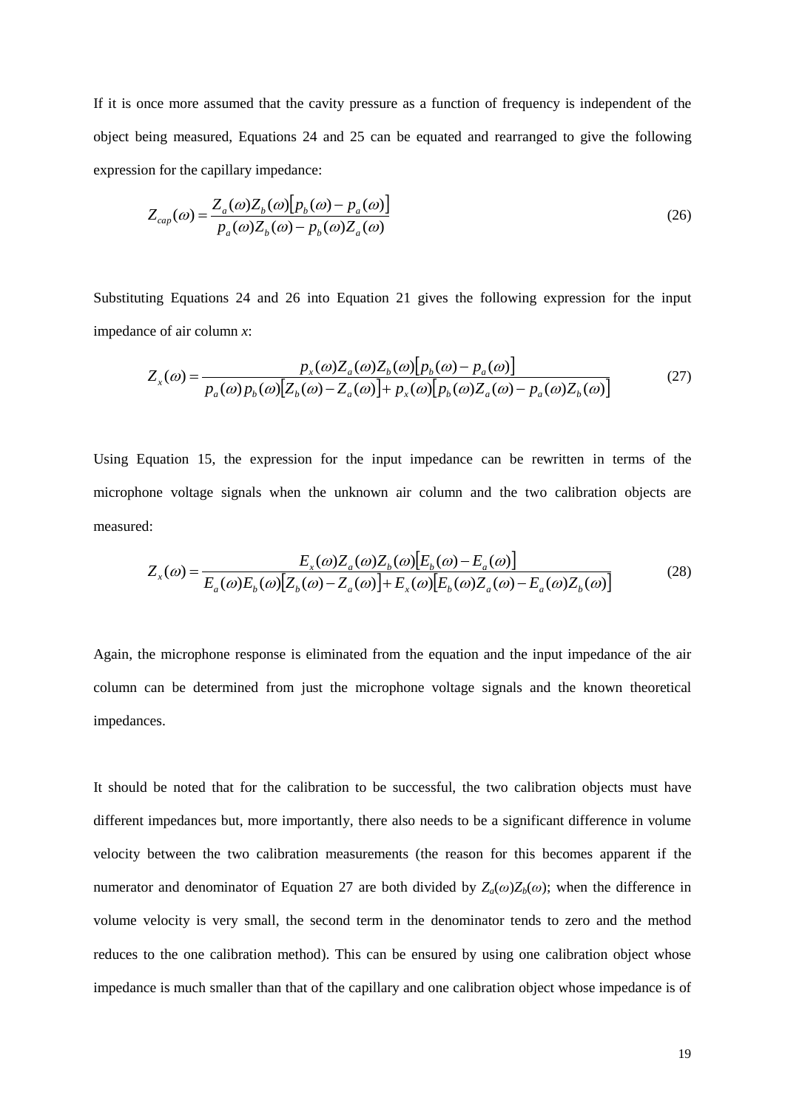If it is once more assumed that the cavity pressure as a function of frequency is independent of the object being measured, Equations 24 and 25 can be equated and rearranged to give the following expression for the capillary impedance:

$$
Z_{cap}(\omega) = \frac{Z_a(\omega)Z_b(\omega)[p_b(\omega) - p_a(\omega)]}{p_a(\omega)Z_b(\omega) - p_b(\omega)Z_a(\omega)}
$$
(26)

Substituting Equations 24 and 26 into Equation 21 gives the following expression for the input impedance of air column *x*:

$$
Z_x(\omega) = \frac{p_x(\omega)Z_a(\omega)Z_b(\omega)[p_b(\omega) - p_a(\omega)]}{p_a(\omega)p_b(\omega)[Z_b(\omega) - Z_a(\omega)] + p_x(\omega)[p_b(\omega)Z_a(\omega) - p_a(\omega)Z_b(\omega)]}
$$
(27)

Using Equation 15, the expression for the input impedance can be rewritten in terms of the microphone voltage signals when the unknown air column and the two calibration objects are measured:

$$
Z_x(\omega) = \frac{E_x(\omega)Z_a(\omega)Z_b(\omega)[E_b(\omega) - E_a(\omega)]}{E_a(\omega)E_b(\omega)[Z_b(\omega) - Z_a(\omega)] + E_x(\omega)[E_b(\omega)Z_a(\omega) - E_a(\omega)Z_b(\omega)]}
$$
(28)

Again, the microphone response is eliminated from the equation and the input impedance of the air column can be determined from just the microphone voltage signals and the known theoretical impedances.

It should be noted that for the calibration to be successful, the two calibration objects must have different impedances but, more importantly, there also needs to be a significant difference in volume velocity between the two calibration measurements (the reason for this becomes apparent if the numerator and denominator of Equation 27 are both divided by  $Z_a(\omega)Z_b(\omega)$ ; when the difference in volume velocity is very small, the second term in the denominator tends to zero and the method reduces to the one calibration method). This can be ensured by using one calibration object whose impedance is much smaller than that of the capillary and one calibration object whose impedance is of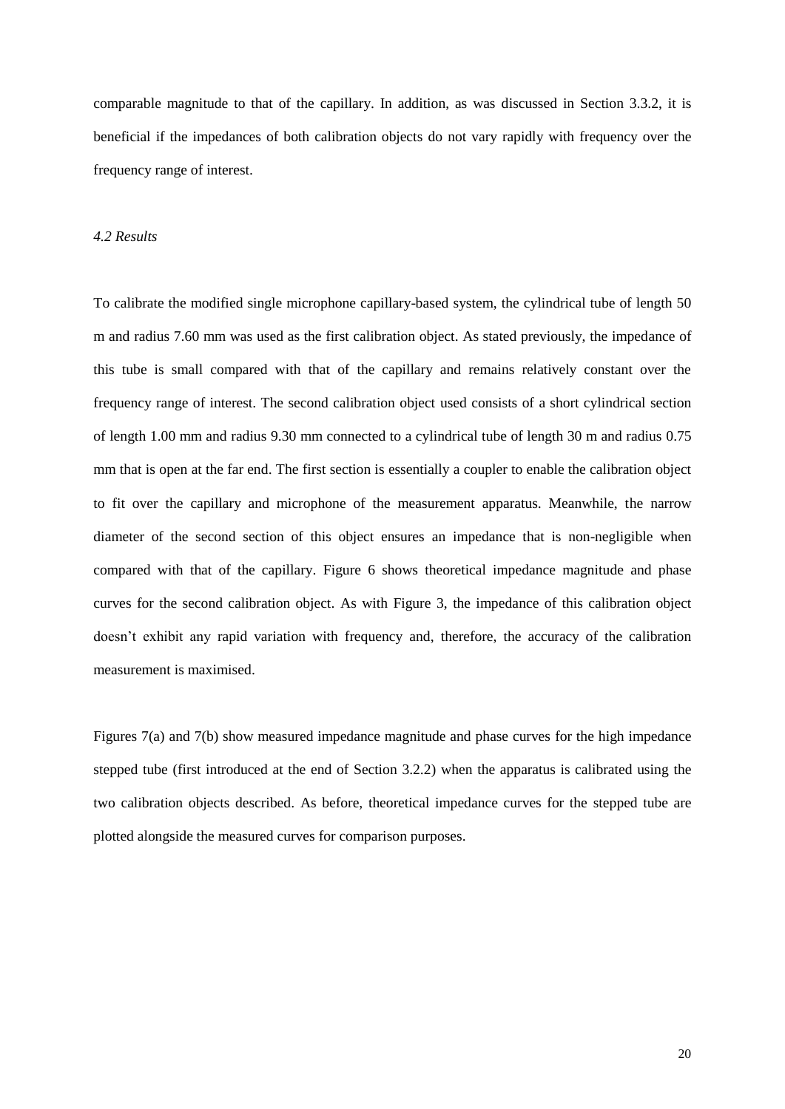comparable magnitude to that of the capillary. In addition, as was discussed in Section 3.3.2, it is beneficial if the impedances of both calibration objects do not vary rapidly with frequency over the frequency range of interest.

#### *4.2 Results*

To calibrate the modified single microphone capillary-based system, the cylindrical tube of length 50 m and radius 7.60 mm was used as the first calibration object. As stated previously, the impedance of this tube is small compared with that of the capillary and remains relatively constant over the frequency range of interest. The second calibration object used consists of a short cylindrical section of length 1.00 mm and radius 9.30 mm connected to a cylindrical tube of length 30 m and radius 0.75 mm that is open at the far end. The first section is essentially a coupler to enable the calibration object to fit over the capillary and microphone of the measurement apparatus. Meanwhile, the narrow diameter of the second section of this object ensures an impedance that is non-negligible when compared with that of the capillary. Figure 6 shows theoretical impedance magnitude and phase curves for the second calibration object. As with Figure 3, the impedance of this calibration object doesn't exhibit any rapid variation with frequency and, therefore, the accuracy of the calibration measurement is maximised.

Figures 7(a) and 7(b) show measured impedance magnitude and phase curves for the high impedance stepped tube (first introduced at the end of Section 3.2.2) when the apparatus is calibrated using the two calibration objects described. As before, theoretical impedance curves for the stepped tube are plotted alongside the measured curves for comparison purposes.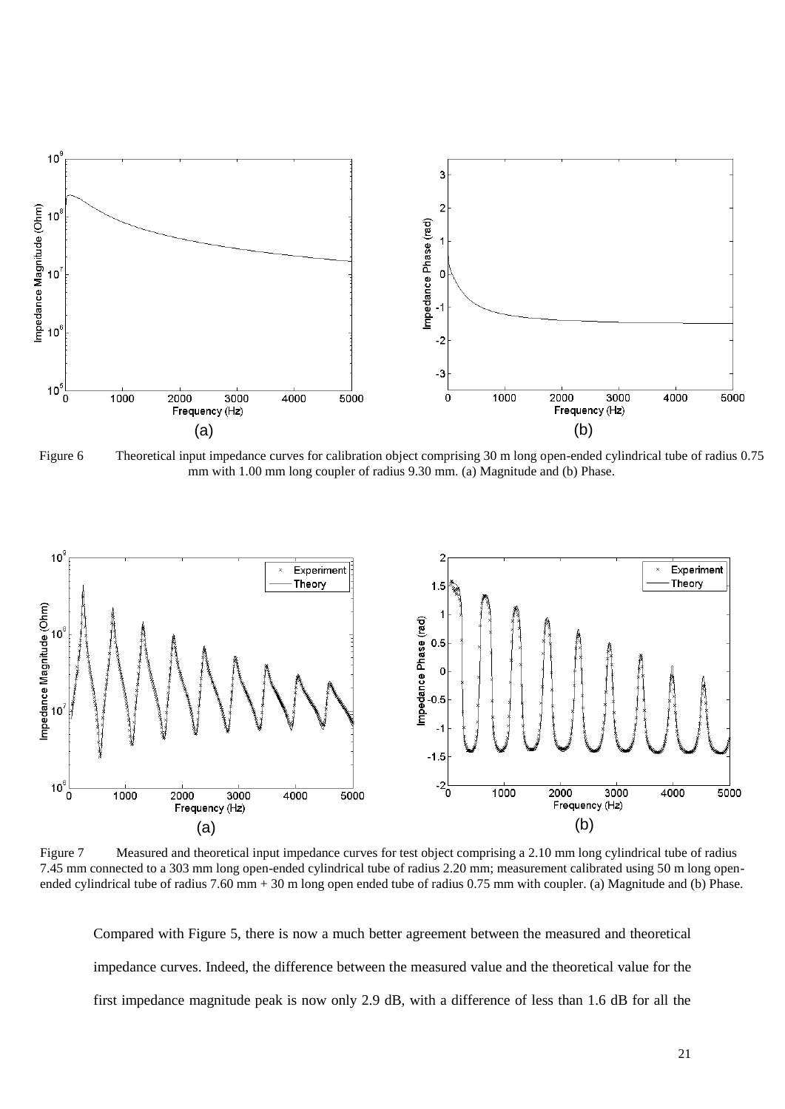

Figure 6 Theoretical input impedance curves for calibration object comprising 30 m long open-ended cylindrical tube of radius 0.75 mm with 1.00 mm long coupler of radius 9.30 mm. (a) Magnitude and (b) Phase.



Figure 7 Measured and theoretical input impedance curves for test object comprising a 2.10 mm long cylindrical tube of radius 7.45 mm connected to a 303 mm long open-ended cylindrical tube of radius 2.20 mm; measurement calibrated using 50 m long openended cylindrical tube of radius 7.60 mm + 30 m long open ended tube of radius 0.75 mm with coupler. (a) Magnitude and (b) Phase.

Compared with Figure 5, there is now a much better agreement between the measured and theoretical impedance curves. Indeed, the difference between the measured value and the theoretical value for the first impedance magnitude peak is now only 2.9 dB, with a difference of less than 1.6 dB for all the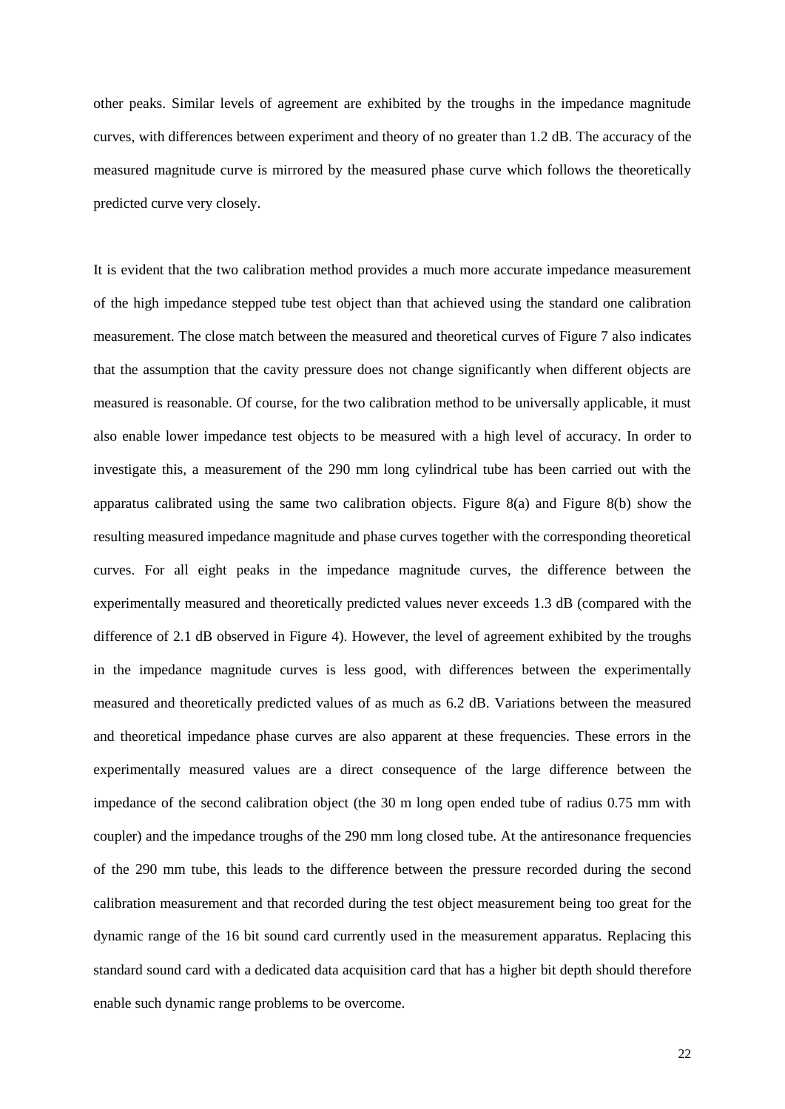other peaks. Similar levels of agreement are exhibited by the troughs in the impedance magnitude curves, with differences between experiment and theory of no greater than 1.2 dB. The accuracy of the measured magnitude curve is mirrored by the measured phase curve which follows the theoretically predicted curve very closely.

It is evident that the two calibration method provides a much more accurate impedance measurement of the high impedance stepped tube test object than that achieved using the standard one calibration measurement. The close match between the measured and theoretical curves of Figure 7 also indicates that the assumption that the cavity pressure does not change significantly when different objects are measured is reasonable. Of course, for the two calibration method to be universally applicable, it must also enable lower impedance test objects to be measured with a high level of accuracy. In order to investigate this, a measurement of the 290 mm long cylindrical tube has been carried out with the apparatus calibrated using the same two calibration objects. Figure 8(a) and Figure 8(b) show the resulting measured impedance magnitude and phase curves together with the corresponding theoretical curves. For all eight peaks in the impedance magnitude curves, the difference between the experimentally measured and theoretically predicted values never exceeds 1.3 dB (compared with the difference of 2.1 dB observed in Figure 4). However, the level of agreement exhibited by the troughs in the impedance magnitude curves is less good, with differences between the experimentally measured and theoretically predicted values of as much as 6.2 dB. Variations between the measured and theoretical impedance phase curves are also apparent at these frequencies. These errors in the experimentally measured values are a direct consequence of the large difference between the impedance of the second calibration object (the 30 m long open ended tube of radius 0.75 mm with coupler) and the impedance troughs of the 290 mm long closed tube. At the antiresonance frequencies of the 290 mm tube, this leads to the difference between the pressure recorded during the second calibration measurement and that recorded during the test object measurement being too great for the dynamic range of the 16 bit sound card currently used in the measurement apparatus. Replacing this standard sound card with a dedicated data acquisition card that has a higher bit depth should therefore enable such dynamic range problems to be overcome.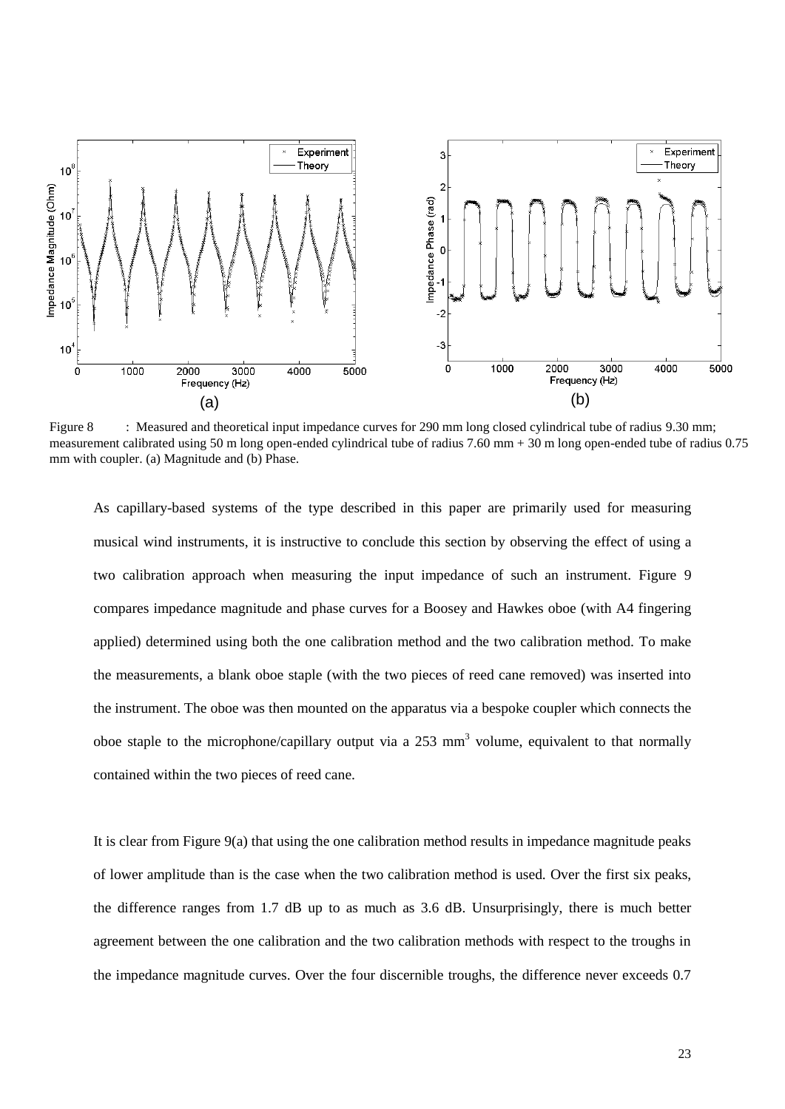

Figure 8 : Measured and theoretical input impedance curves for 290 mm long closed cylindrical tube of radius 9.30 mm; measurement calibrated using 50 m long open-ended cylindrical tube of radius 7.60 mm + 30 m long open-ended tube of radius 0.75 mm with coupler. (a) Magnitude and (b) Phase.

As capillary-based systems of the type described in this paper are primarily used for measuring musical wind instruments, it is instructive to conclude this section by observing the effect of using a two calibration approach when measuring the input impedance of such an instrument. Figure 9 compares impedance magnitude and phase curves for a Boosey and Hawkes oboe (with A4 fingering applied) determined using both the one calibration method and the two calibration method. To make the measurements, a blank oboe staple (with the two pieces of reed cane removed) was inserted into the instrument. The oboe was then mounted on the apparatus via a bespoke coupler which connects the oboe staple to the microphone/capillary output via a  $253 \text{ mm}^3$  volume, equivalent to that normally contained within the two pieces of reed cane.

It is clear from Figure 9(a) that using the one calibration method results in impedance magnitude peaks of lower amplitude than is the case when the two calibration method is used. Over the first six peaks, the difference ranges from 1.7 dB up to as much as 3.6 dB. Unsurprisingly, there is much better agreement between the one calibration and the two calibration methods with respect to the troughs in the impedance magnitude curves. Over the four discernible troughs, the difference never exceeds 0.7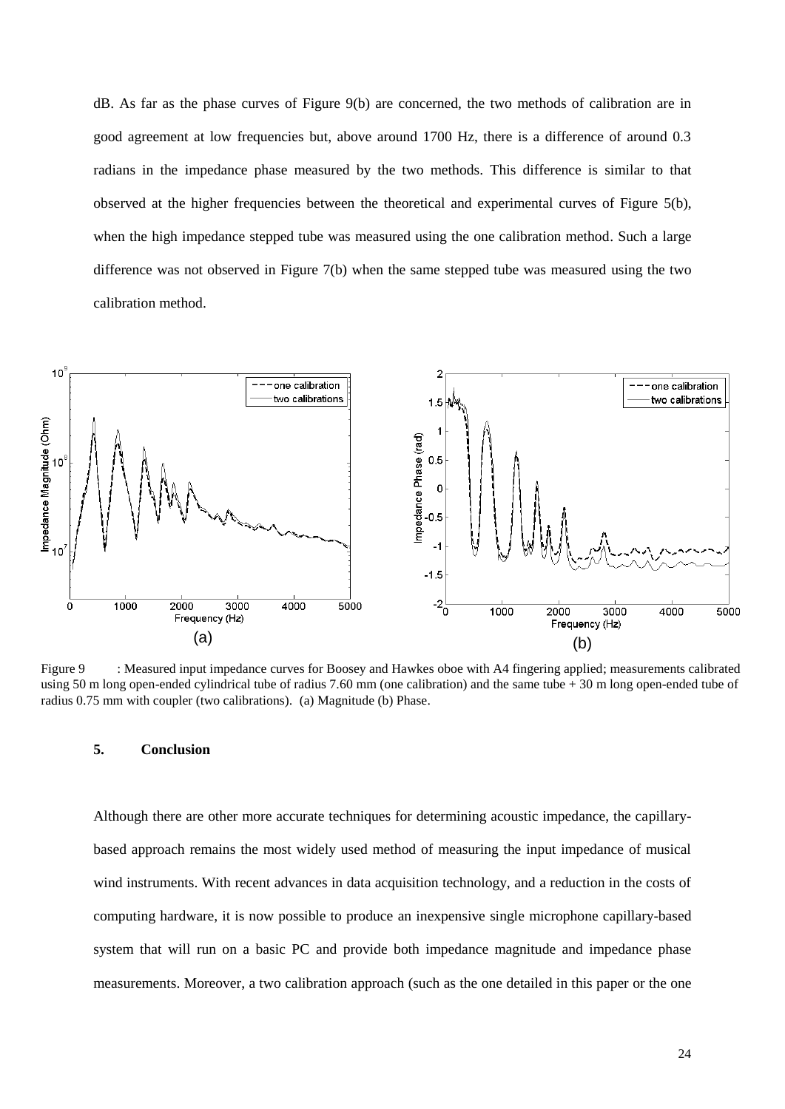dB. As far as the phase curves of Figure 9(b) are concerned, the two methods of calibration are in good agreement at low frequencies but, above around 1700 Hz, there is a difference of around 0.3 radians in the impedance phase measured by the two methods. This difference is similar to that observed at the higher frequencies between the theoretical and experimental curves of Figure 5(b), when the high impedance stepped tube was measured using the one calibration method. Such a large difference was not observed in Figure 7(b) when the same stepped tube was measured using the two calibration method.



Figure 9 : Measured input impedance curves for Boosey and Hawkes oboe with A4 fingering applied; measurements calibrated using 50 m long open-ended cylindrical tube of radius 7.60 mm (one calibration) and the same tube + 30 m long open-ended tube of radius 0.75 mm with coupler (two calibrations). (a) Magnitude (b) Phase.

#### **5. Conclusion**

Although there are other more accurate techniques for determining acoustic impedance, the capillarybased approach remains the most widely used method of measuring the input impedance of musical wind instruments. With recent advances in data acquisition technology, and a reduction in the costs of computing hardware, it is now possible to produce an inexpensive single microphone capillary-based system that will run on a basic PC and provide both impedance magnitude and impedance phase measurements. Moreover, a two calibration approach (such as the one detailed in this paper or the one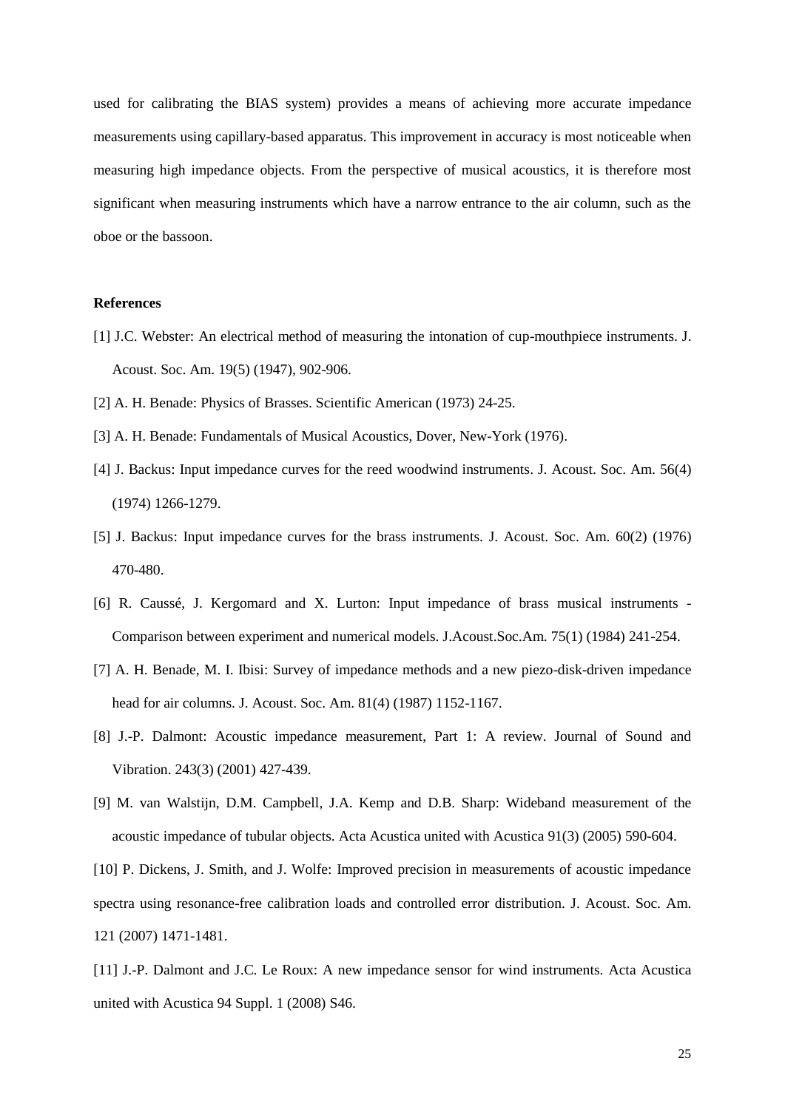used for calibrating the BIAS system) provides a means of achieving more accurate impedance measurements using capillary-based apparatus. This improvement in accuracy is most noticeable when measuring high impedance objects. From the perspective of musical acoustics, it is therefore most significant when measuring instruments which have a narrow entrance to the air column, such as the oboe or the bassoon.

#### **References**

- [1] J.C. Webster: An electrical method of measuring the intonation of cup-mouthpiece instruments. J. Acoust. Soc. Am. 19(5) (1947), 902-906.
- [2] A. H. Benade: Physics of Brasses. Scientific American (1973) 24-25.
- [3] A. H. Benade: Fundamentals of Musical Acoustics, Dover, New-York (1976).
- [4] J. Backus: Input impedance curves for the reed woodwind instruments. J. Acoust. Soc. Am. 56(4) (1974) 1266-1279.
- [5] J. Backus: Input impedance curves for the brass instruments. J. Acoust. Soc. Am. 60(2) (1976) 470-480.
- [6] R. Caussé, J. Kergomard and X. Lurton: Input impedance of brass musical instruments Comparison between experiment and numerical models. J.Acoust.Soc.Am. 75(1) (1984) 241-254.
- [7] A. H. Benade, M. I. Ibisi: Survey of impedance methods and a new piezo-disk-driven impedance head for air columns. J. Acoust. Soc. Am. 81(4) (1987) 1152-1167.
- [8] J.-P. Dalmont: Acoustic impedance measurement, Part 1: A review. Journal of Sound and Vibration. 243(3) (2001) 427-439.
- [9] M. van Walstijn, D.M. Campbell, J.A. Kemp and D.B. Sharp: Wideband measurement of the acoustic impedance of tubular objects. Acta Acustica united with Acustica 91(3) (2005) 590-604.

[10] P. Dickens, J. Smith, and J. Wolfe: Improved precision in measurements of acoustic impedance spectra using resonance-free calibration loads and controlled error distribution. J. Acoust. Soc. Am. 121 (2007) 1471-1481.

[11] J.-P. Dalmont and J.C. Le Roux: A new impedance sensor for wind instruments. Acta Acustica united with Acustica 94 Suppl. 1 (2008) S46.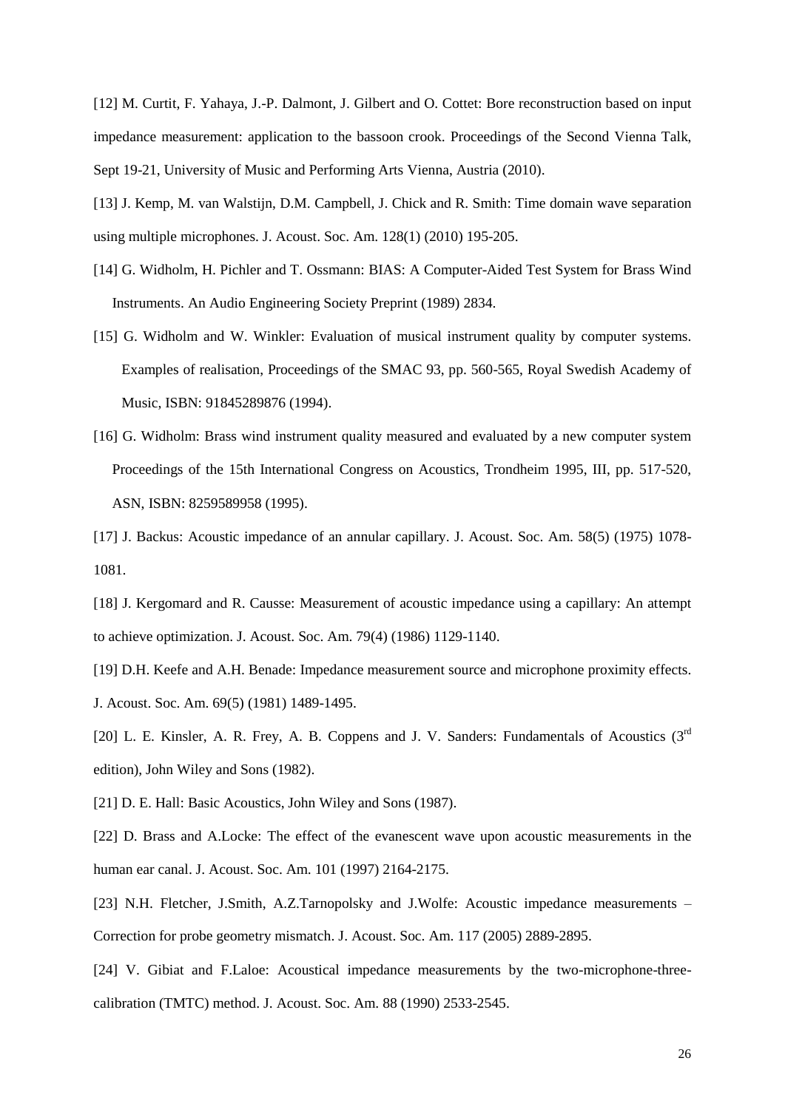[12] M. Curtit, F. Yahaya, J.-P. Dalmont, J. Gilbert and O. Cottet: Bore reconstruction based on input impedance measurement: application to the bassoon crook. Proceedings of the Second Vienna Talk, Sept 19-21, University of Music and Performing Arts Vienna, Austria (2010).

[13] J. Kemp, M. van Walstijn, D.M. Campbell, J. Chick and R. Smith: Time domain wave separation using multiple microphones. J. Acoust. Soc. Am. 128(1) (2010) 195-205.

- [14] G. Widholm, H. Pichler and T. Ossmann: BIAS: A Computer-Aided Test System for Brass Wind Instruments. An Audio Engineering Society Preprint (1989) 2834.
- [15] G. Widholm and W. Winkler: Evaluation of musical instrument quality by computer systems. Examples of realisation, Proceedings of the SMAC 93, pp. 560-565, Royal Swedish Academy of Music, ISBN: 91845289876 (1994).
- [16] G. Widholm: Brass wind instrument quality measured and evaluated by a new computer system Proceedings of the 15th International Congress on Acoustics, Trondheim 1995, III, pp. 517-520, ASN, ISBN: 8259589958 (1995).
- [17] J. Backus: Acoustic impedance of an annular capillary. J. Acoust. Soc. Am. 58(5) (1975) 1078- 1081.
- [18] J. Kergomard and R. Causse: Measurement of acoustic impedance using a capillary: An attempt to achieve optimization. J. Acoust. Soc. Am. 79(4) (1986) 1129-1140.

[19] D.H. Keefe and A.H. Benade: Impedance measurement source and microphone proximity effects. J. Acoust. Soc. Am. 69(5) (1981) 1489-1495.

[20] L. E. Kinsler, A. R. Frey, A. B. Coppens and J. V. Sanders: Fundamentals of Acoustics  $(3^{rd}$ edition), John Wiley and Sons (1982).

[21] D. E. Hall: Basic Acoustics, John Wiley and Sons (1987).

[22] D. Brass and A.Locke: The effect of the evanescent wave upon acoustic measurements in the human ear canal. J. Acoust. Soc. Am. 101 (1997) 2164-2175.

[23] N.H. Fletcher, J.Smith, A.Z.Tarnopolsky and J.Wolfe: Acoustic impedance measurements – Correction for probe geometry mismatch. J. Acoust. Soc. Am. 117 (2005) 2889-2895.

[24] V. Gibiat and F.Laloe: Acoustical impedance measurements by the two-microphone-threecalibration (TMTC) method. J. Acoust. Soc. Am. 88 (1990) 2533-2545.